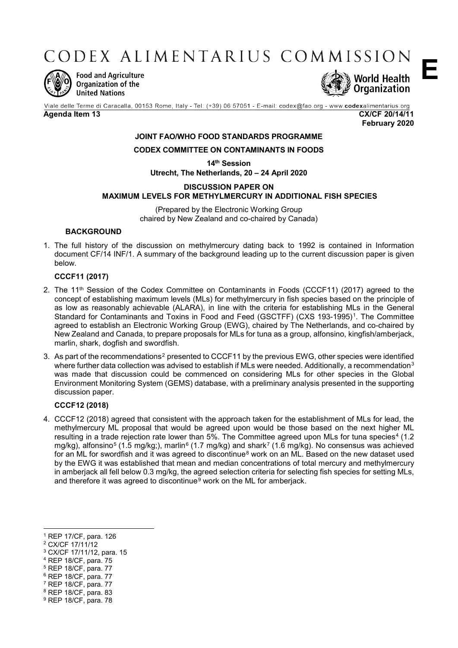CODEX ALIMENTARIUS COMMISSION



**Food and Agriculture** Organization of the **United Nations** 



Viale delle Terme di Caracalla, 00153 Rome, Italy - Tel: (+39) 06 57051 - E-mail: codex@fao.org - www.codexalimentarius.org

**Agenda Item 13 CX/CF 20/14/11 February 2020**

**E**

## **JOINT FAO/WHO FOOD STANDARDS PROGRAMME**

## **CODEX COMMITTEE ON CONTAMINANTS IN FOODS**

**14th Session Utrecht, The Netherlands, 20 – 24 April 2020**

## **DISCUSSION PAPER ON MAXIMUM LEVELS FOR METHYLMERCURY IN ADDITIONAL FISH SPECIES**

(Prepared by the Electronic Working Group chaired by New Zealand and co-chaired by Canada)

## **BACKGROUND**

1. The full history of the discussion on methylmercury dating back to 1992 is contained in Information document CF/14 INF/1. A summary of the background leading up to the current discussion paper is given below.

## **CCCF11 (2017)**

- 2. The 11<sup>th</sup> Session of the Codex Committee on Contaminants in Foods (CCCF11) (2017) agreed to the concept of establishing maximum levels (MLs) for methylmercury in fish species based on the principle of as low as reasonably achievable (ALARA), in line with the criteria for establishing MLs in the General Standard for Contaminants and Toxins in Food and Feed (GSCTFF) (CXS 193-1995)[1.](#page-0-0) The Committee agreed to establish an Electronic Working Group (EWG), chaired by The Netherlands, and co-chaired by New Zealand and Canada, to prepare proposals for MLs for tuna as a group, alfonsino, kingfish/amberjack, marlin, shark, dogfish and swordfish.
- 3. As part of the recommendations<sup>[2](#page-0-1)</sup> presented to CCCF11 by the previous EWG, other species were identified where further data collection was advised to establish if MLs were needed. Additionally, a recommendation<sup>[3](#page-0-2)</sup> was made that discussion could be commenced on considering MLs for other species in the Global Environment Monitoring System (GEMS) database, with a preliminary analysis presented in the supporting discussion paper.

## **CCCF12 (2018)**

4. CCCF12 (2018) agreed that consistent with the approach taken for the establishment of MLs for lead, the methylmercury ML proposal that would be agreed upon would be those based on the next higher ML resulting in a trade rejection rate lower than 5%. The Committee agreed upon MLs for tuna species<sup>[4](#page-0-3)</sup> (1.2) mg/kg), alfonsino<sup>[5](#page-0-4)</sup> (1.5 mg/kg;), marlin<sup>[6](#page-0-5)</sup> (1.[7](#page-0-6) mg/kg) and shark<sup>7</sup> (1.6 mg/kg). No consensus was achieved for an ML for swordfish and it was agreed to discontinue<sup>[8](#page-0-7)</sup> work on an ML. Based on the new dataset used by the EWG it was established that mean and median concentrations of total mercury and methylmercury in amberjack all fell below 0.3 mg/kg, the agreed selection criteria for selecting fish species for setting MLs, and therefore it was agreed to discontinue<sup>[9](#page-0-8)</sup> work on the ML for amberjack.

<span id="page-0-1"></span><sup>2</sup> CX/CF 17/11/12

 $\overline{a}$ 

- <span id="page-0-2"></span><sup>3</sup> CX/CF 17/11/12, para. 15
- <span id="page-0-3"></span><sup>4</sup> REP 18/CF, para. 75
- <span id="page-0-4"></span><sup>5</sup> REP 18/CF, para. 77
- <span id="page-0-5"></span><sup>6</sup> REP 18/CF, para. 77
- <span id="page-0-6"></span><sup>7</sup> REP 18/CF, para. 77
- <span id="page-0-8"></span><span id="page-0-7"></span><sup>8</sup> REP 18/CF, para. 83 <sup>9</sup> REP 18/CF, para. 78

<span id="page-0-0"></span><sup>1</sup> REP 17/CF, para. 126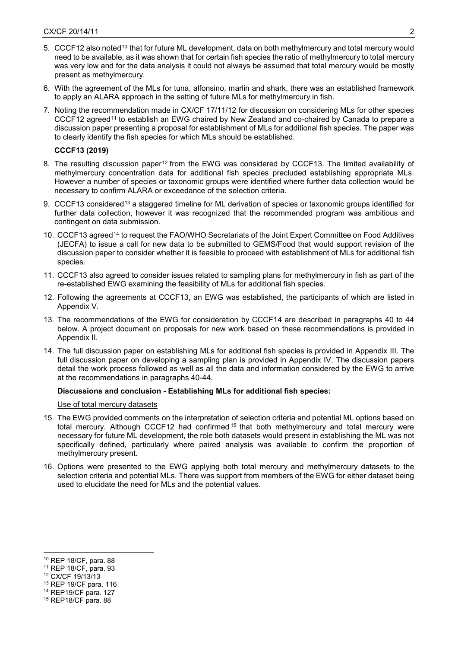- 5. CCCF12 also noted<sup>[10](#page-1-0)</sup> that for future ML development, data on both methylmercury and total mercury would need to be available, as it was shown that for certain fish species the ratio of methylmercury to total mercury was very low and for the data analysis it could not always be assumed that total mercury would be mostly present as methylmercury.
- 6. With the agreement of the MLs for tuna, alfonsino, marlin and shark, there was an established framework to apply an ALARA approach in the setting of future MLs for methylmercury in fish.
- 7. Noting the recommendation made in CX/CF 17/11/12 for discussion on considering MLs for other species CCCF12 agreed[11](#page-1-1) to establish an EWG chaired by New Zealand and co-chaired by Canada to prepare a discussion paper presenting a proposal for establishment of MLs for additional fish species. The paper was to clearly identify the fish species for which MLs should be established.

## **CCCF13 (2019)**

- 8. The resulting discussion paper<sup>[12](#page-1-2)</sup> from the EWG was considered by CCCF13. The limited availability of methylmercury concentration data for additional fish species precluded establishing appropriate MLs. However a number of species or taxonomic groups were identified where further data collection would be necessary to confirm ALARA or exceedance of the selection criteria.
- 9. CCCF[13](#page-1-3) considered<sup>13</sup> a staggered timeline for ML derivation of species or taxonomic groups identified for further data collection, however it was recognized that the recommended program was ambitious and contingent on data submission.
- 10. CCCF13 agreed[14](#page-1-4) to request the FAO/WHO Secretariats of the Joint Expert Committee on Food Additives (JECFA) to issue a call for new data to be submitted to GEMS/Food that would support revision of the discussion paper to consider whether it is feasible to proceed with establishment of MLs for additional fish species.
- 11. CCCF13 also agreed to consider issues related to sampling plans for methylmercury in fish as part of the re-established EWG examining the feasibility of MLs for additional fish species.
- 12. Following the agreements at CCCF13, an EWG was established, the participants of which are listed in Appendix V.
- 13. The recommendations of the EWG for consideration by CCCF14 are described in paragraphs 40 to 44 below. A project document on proposals for new work based on these recommendations is provided in Appendix II.
- 14. The full discussion paper on establishing MLs for additional fish species is provided in Appendix III. The full discussion paper on developing a sampling plan is provided in Appendix IV. The discussion papers detail the work process followed as well as all the data and information considered by the EWG to arrive at the recommendations in paragraphs 40-44.

## **Discussions and conclusion - Establishing MLs for additional fish species:**

#### Use of total mercury datasets

- 15. The EWG provided comments on the interpretation of selection criteria and potential ML options based on total mercury. Although CCCF12 had confirmed <sup>[15](#page-1-5)</sup> that both methylmercury and total mercury were necessary for future ML development, the role both datasets would present in establishing the ML was not specifically defined, particularly where paired analysis was available to confirm the proportion of methylmercury present.
- 16. Options were presented to the EWG applying both total mercury and methylmercury datasets to the selection criteria and potential MLs. There was support from members of the EWG for either dataset being used to elucidate the need for MLs and the potential values.

- <span id="page-1-1"></span><sup>11</sup> REP 18/CF, para. 93
- <span id="page-1-2"></span><sup>12</sup> CX/CF 19/13/13

<u>.</u>

- <span id="page-1-3"></span><sup>13</sup> REP 19/CF para. 116
- <span id="page-1-5"></span><span id="page-1-4"></span><sup>14</sup> REP19/CF para. 127 <sup>15</sup> REP18/CF para. 88

<span id="page-1-0"></span><sup>10</sup> REP 18/CF, para. 88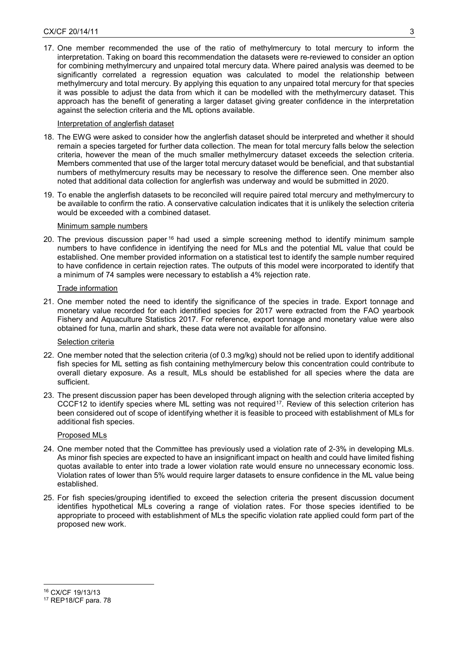17. One member recommended the use of the ratio of methylmercury to total mercury to inform the interpretation. Taking on board this recommendation the datasets were re-reviewed to consider an option for combining methylmercury and unpaired total mercury data. Where paired analysis was deemed to be significantly correlated a regression equation was calculated to model the relationship between methylmercury and total mercury. By applying this equation to any unpaired total mercury for that species it was possible to adjust the data from which it can be modelled with the methylmercury dataset. This approach has the benefit of generating a larger dataset giving greater confidence in the interpretation against the selection criteria and the ML options available.

## Interpretation of anglerfish dataset

- 18. The EWG were asked to consider how the anglerfish dataset should be interpreted and whether it should remain a species targeted for further data collection. The mean for total mercury falls below the selection criteria, however the mean of the much smaller methylmercury dataset exceeds the selection criteria. Members commented that use of the larger total mercury dataset would be beneficial, and that substantial numbers of methylmercury results may be necessary to resolve the difference seen. One member also noted that additional data collection for anglerfish was underway and would be submitted in 2020.
- 19. To enable the anglerfish datasets to be reconciled will require paired total mercury and methylmercury to be available to confirm the ratio. A conservative calculation indicates that it is unlikely the selection criteria would be exceeded with a combined dataset.

## Minimum sample numbers

20. The previous discussion paper<sup>[16](#page-2-0)</sup> had used a simple screening method to identify minimum sample numbers to have confidence in identifying the need for MLs and the potential ML value that could be established. One member provided information on a statistical test to identify the sample number required to have confidence in certain rejection rates. The outputs of this model were incorporated to identify that a minimum of 74 samples were necessary to establish a 4% rejection rate.

## Trade information

21. One member noted the need to identify the significance of the species in trade. Export tonnage and monetary value recorded for each identified species for 2017 were extracted from the FAO yearbook Fishery and Aquaculture Statistics 2017. For reference, export tonnage and monetary value were also obtained for tuna, marlin and shark, these data were not available for alfonsino.

#### Selection criteria

- 22. One member noted that the selection criteria (of 0.3 mg/kg) should not be relied upon to identify additional fish species for ML setting as fish containing methylmercury below this concentration could contribute to overall dietary exposure. As a result, MLs should be established for all species where the data are sufficient.
- 23. The present discussion paper has been developed through aligning with the selection criteria accepted by CCCF12 to identify species where ML setting was not required<sup>[17](#page-2-1)</sup>. Review of this selection criterion has been considered out of scope of identifying whether it is feasible to proceed with establishment of MLs for additional fish species.

#### Proposed MLs

- 24. One member noted that the Committee has previously used a violation rate of 2-3% in developing MLs. As minor fish species are expected to have an insignificant impact on health and could have limited fishing quotas available to enter into trade a lower violation rate would ensure no unnecessary economic loss. Violation rates of lower than 5% would require larger datasets to ensure confidence in the ML value being established.
- 25. For fish species/grouping identified to exceed the selection criteria the present discussion document identifies hypothetical MLs covering a range of violation rates. For those species identified to be appropriate to proceed with establishment of MLs the specific violation rate applied could form part of the proposed new work.

 $\overline{a}$ 

<span id="page-2-0"></span><sup>16</sup> CX/CF 19/13/13

<span id="page-2-1"></span><sup>17</sup> REP18/CF para. 78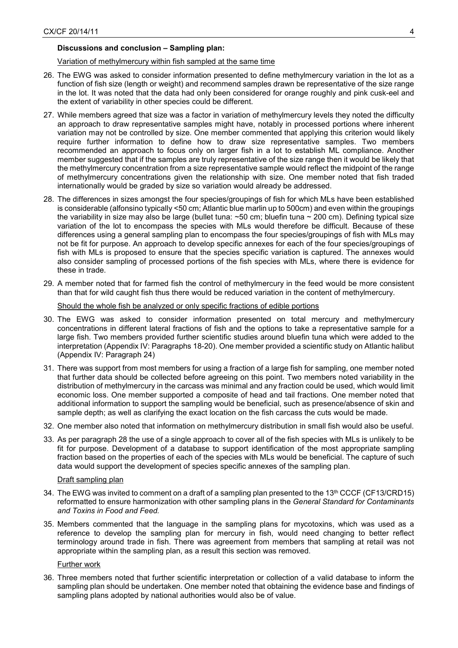## **Discussions and conclusion – Sampling plan:**

#### Variation of methylmercury within fish sampled at the same time

- 26. The EWG was asked to consider information presented to define methylmercury variation in the lot as a function of fish size (length or weight) and recommend samples drawn be representative of the size range in the lot. It was noted that the data had only been considered for orange roughly and pink cusk-eel and the extent of variability in other species could be different.
- 27. While members agreed that size was a factor in variation of methylmercury levels they noted the difficulty an approach to draw representative samples might have, notably in processed portions where inherent variation may not be controlled by size. One member commented that applying this criterion would likely require further information to define how to draw size representative samples. Two members recommended an approach to focus only on larger fish in a lot to establish ML compliance. Another member suggested that if the samples are truly representative of the size range then it would be likely that the methylmercury concentration from a size representative sample would reflect the midpoint of the range of methylmercury concentrations given the relationship with size. One member noted that fish traded internationally would be graded by size so variation would already be addressed.
- 28. The differences in sizes amongst the four species/groupings of fish for which MLs have been established is considerable (alfonsino typically <50 cm; Atlantic blue marlin up to 500cm) and even within the groupings the variability in size may also be large (bullet tuna: ~50 cm; bluefin tuna ~ 200 cm). Defining typical size variation of the lot to encompass the species with MLs would therefore be difficult. Because of these differences using a general sampling plan to encompass the four species/groupings of fish with MLs may not be fit for purpose. An approach to develop specific annexes for each of the four species/groupings of fish with MLs is proposed to ensure that the species specific variation is captured. The annexes would also consider sampling of processed portions of the fish species with MLs, where there is evidence for these in trade.
- 29. A member noted that for farmed fish the control of methylmercury in the feed would be more consistent than that for wild caught fish thus there would be reduced variation in the content of methylmercury.

Should the whole fish be analyzed or only specific fractions of edible portions

- 30. The EWG was asked to consider information presented on total mercury and methylmercury concentrations in different lateral fractions of fish and the options to take a representative sample for a large fish. Two members provided further scientific studies around bluefin tuna which were added to the interpretation (Appendix IV: Paragraphs 18-20). One member provided a scientific study on Atlantic halibut (Appendix IV: Paragraph 24)
- 31. There was support from most members for using a fraction of a large fish for sampling, one member noted that further data should be collected before agreeing on this point. Two members noted variability in the distribution of methylmercury in the carcass was minimal and any fraction could be used, which would limit economic loss. One member supported a composite of head and tail fractions. One member noted that additional information to support the sampling would be beneficial, such as presence/absence of skin and sample depth; as well as clarifying the exact location on the fish carcass the cuts would be made.
- 32. One member also noted that information on methylmercury distribution in small fish would also be useful.
- 33. As per paragraph 28 the use of a single approach to cover all of the fish species with MLs is unlikely to be fit for purpose. Development of a database to support identification of the most appropriate sampling fraction based on the properties of each of the species with MLs would be beneficial. The capture of such data would support the development of species specific annexes of the sampling plan.

#### Draft sampling plan

- 34. The EWG was invited to comment on a draft of a sampling plan presented to the 13<sup>th</sup> CCCF (CF13/CRD15) reformatted to ensure harmonization with other sampling plans in the *General Standard for Contaminants and Toxins in Food and Feed.*
- 35. Members commented that the language in the sampling plans for mycotoxins, which was used as a reference to develop the sampling plan for mercury in fish, would need changing to better reflect terminology around trade in fish. There was agreement from members that sampling at retail was not appropriate within the sampling plan, as a result this section was removed.

#### Further work

36. Three members noted that further scientific interpretation or collection of a valid database to inform the sampling plan should be undertaken. One member noted that obtaining the evidence base and findings of sampling plans adopted by national authorities would also be of value.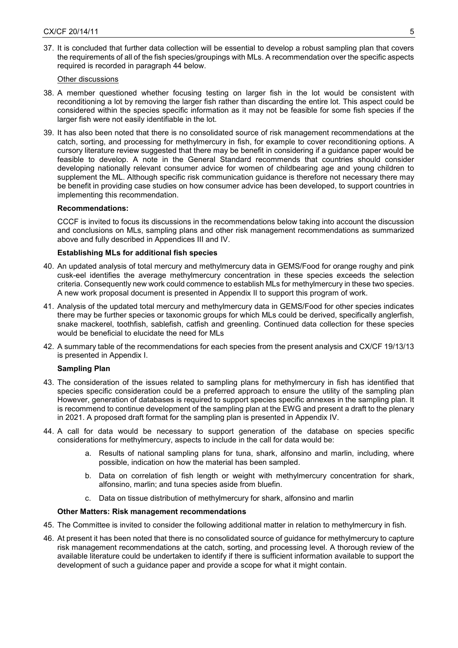37. It is concluded that further data collection will be essential to develop a robust sampling plan that covers the requirements of all of the fish species/groupings with MLs. A recommendation over the specific aspects required is recorded in paragraph 44 below.

## Other discussions

- 38. A member questioned whether focusing testing on larger fish in the lot would be consistent with reconditioning a lot by removing the larger fish rather than discarding the entire lot. This aspect could be considered within the species specific information as it may not be feasible for some fish species if the larger fish were not easily identifiable in the lot.
- 39. It has also been noted that there is no consolidated source of risk management recommendations at the catch, sorting, and processing for methylmercury in fish, for example to cover reconditioning options. A cursory literature review suggested that there may be benefit in considering if a guidance paper would be feasible to develop. A note in the General Standard recommends that countries should consider developing nationally relevant consumer advice for women of childbearing age and young children to supplement the ML. Although specific risk communication guidance is therefore not necessary there may be benefit in providing case studies on how consumer advice has been developed, to support countries in implementing this recommendation.

## **Recommendations:**

CCCF is invited to focus its discussions in the recommendations below taking into account the discussion and conclusions on MLs, sampling plans and other risk management recommendations as summarized above and fully described in Appendices III and IV.

## **Establishing MLs for additional fish species**

- 40. An updated analysis of total mercury and methylmercury data in GEMS/Food for orange roughy and pink cusk-eel identifies the average methylmercury concentration in these species exceeds the selection criteria. Consequently new work could commence to establish MLs for methylmercury in these two species. A new work proposal document is presented in Appendix II to support this program of work.
- 41. Analysis of the updated total mercury and methylmercury data in GEMS/Food for other species indicates there may be further species or taxonomic groups for which MLs could be derived, specifically anglerfish, snake mackerel, toothfish, sablefish, catfish and greenling. Continued data collection for these species would be beneficial to elucidate the need for MLs
- 42. A summary table of the recommendations for each species from the present analysis and CX/CF 19/13/13 is presented in Appendix I.

#### **Sampling Plan**

- 43. The consideration of the issues related to sampling plans for methylmercury in fish has identified that species specific consideration could be a preferred approach to ensure the utility of the sampling plan However, generation of databases is required to support species specific annexes in the sampling plan. It is recommend to continue development of the sampling plan at the EWG and present a draft to the plenary in 2021. A proposed draft format for the sampling plan is presented in Appendix IV.
- 44. A call for data would be necessary to support generation of the database on species specific considerations for methylmercury, aspects to include in the call for data would be:
	- a. Results of national sampling plans for tuna, shark, alfonsino and marlin, including, where possible, indication on how the material has been sampled.
	- b. Data on correlation of fish length or weight with methylmercury concentration for shark, alfonsino, marlin; and tuna species aside from bluefin.
	- c. Data on tissue distribution of methylmercury for shark, alfonsino and marlin

#### **Other Matters: Risk management recommendations**

- 45. The Committee is invited to consider the following additional matter in relation to methylmercury in fish.
- 46. At present it has been noted that there is no consolidated source of guidance for methylmercury to capture risk management recommendations at the catch, sorting, and processing level. A thorough review of the available literature could be undertaken to identify if there is sufficient information available to support the development of such a guidance paper and provide a scope for what it might contain.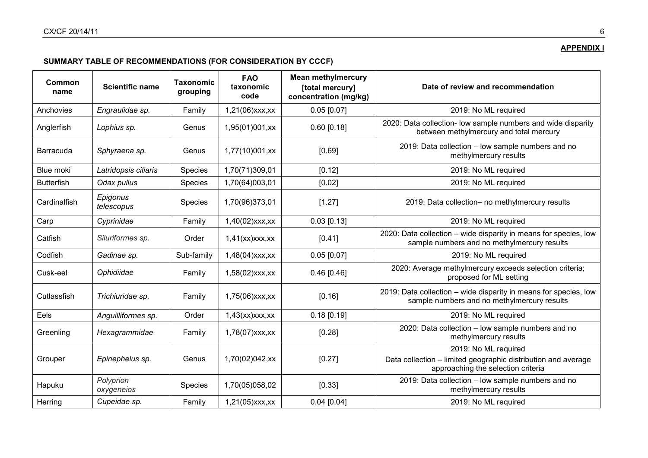# **APPENDIX I**

# **SUMMARY TABLE OF RECOMMENDATIONS (FOR CONSIDERATION BY CCCF)**

| Common<br>name    | <b>Scientific name</b>  | <b>Taxonomic</b><br>grouping | <b>FAO</b><br>taxonomic<br>code | <b>Mean methylmercury</b><br>[total mercury]<br>concentration (mg/kg) | Date of review and recommendation                                                                                           |
|-------------------|-------------------------|------------------------------|---------------------------------|-----------------------------------------------------------------------|-----------------------------------------------------------------------------------------------------------------------------|
| Anchovies         | Engraulidae sp.         | Family                       | 1,21(06) xxx, xx                | $0.05$ [0.07]                                                         | 2019: No ML required                                                                                                        |
| Anglerfish        | Lophius sp.             | Genus                        | 1,95(01)001,xx                  | $0.60$ [0.18]                                                         | 2020: Data collection- low sample numbers and wide disparity<br>between methylmercury and total mercury                     |
| <b>Barracuda</b>  | Sphyraena sp.           | Genus                        | 1,77(10)001,xx                  | [0.69]                                                                | 2019: Data collection - low sample numbers and no<br>methylmercury results                                                  |
| Blue moki         | Latridopsis ciliaris    | Species                      | 1,70(71)309,01                  | [0.12]                                                                | 2019: No ML required                                                                                                        |
| <b>Butterfish</b> | Odax pullus             | Species                      | 1,70(64)003,01                  | [0.02]                                                                | 2019: No ML required                                                                                                        |
| Cardinalfish      | Epigonus<br>telescopus  | <b>Species</b>               | 1,70(96)373,01                  | [1.27]                                                                | 2019: Data collection- no methylmercury results                                                                             |
| Carp              | Cyprinidae              | Family                       | 1,40(02) xxx, xx                | $0.03$ [0.13]                                                         | 2019: No ML required                                                                                                        |
| Catfish           | Siluriformes sp.        | Order                        | 1,41(xx)xxx,xx                  | [0.41]                                                                | 2020: Data collection - wide disparity in means for species, low<br>sample numbers and no methylmercury results             |
| Codfish           | Gadinae sp.             | Sub-family                   | $1,48(04)$ xxx,xx               | $0.05$ [0.07]                                                         | 2019: No ML required                                                                                                        |
| Cusk-eel          | Ophidiidae              | Family                       | $1,58(02)$ xxx,xx               | $0.46$ [0.46]                                                         | 2020: Average methylmercury exceeds selection criteria;<br>proposed for ML setting                                          |
| Cutlassfish       | Trichiuridae sp.        | Family                       | 1,75(06)xxx,xx                  | [0.16]                                                                | 2019: Data collection - wide disparity in means for species, low<br>sample numbers and no methylmercury results             |
| Eels              | Anguilliformes sp.      | Order                        | $1,43$ (xx) $xx$ , $xx$         | $0.18$ [0.19]                                                         | 2019: No ML required                                                                                                        |
| Greenling         | Hexagrammidae           | Family                       | $1,78(07)$ xxx,xx               | [0.28]                                                                | 2020: Data collection - low sample numbers and no<br>methylmercury results                                                  |
| Grouper           | Epinephelus sp.         | Genus                        | 1,70(02)042,xx                  | [0.27]                                                                | 2019: No ML required<br>Data collection - limited geographic distribution and average<br>approaching the selection criteria |
| Hapuku            | Polyprion<br>oxygeneios | <b>Species</b>               | 1,70(05)058,02                  | [0.33]                                                                | 2019: Data collection - low sample numbers and no<br>methylmercury results                                                  |
| Herring           | Cupeidae sp.            | Family                       | $1,21(05)$ xxx, xx              | $0.04$ [0.04]                                                         | 2019: No ML required                                                                                                        |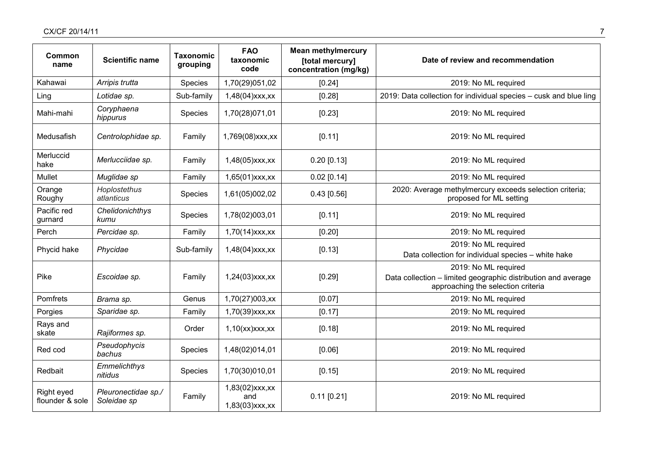| Common<br>name                | <b>Scientific name</b>             | <b>Taxonomic</b><br>grouping | <b>FAO</b><br>taxonomic<br>code             | <b>Mean methylmercury</b><br>[total mercury]<br>concentration (mg/kg) | Date of review and recommendation                                                                                           |
|-------------------------------|------------------------------------|------------------------------|---------------------------------------------|-----------------------------------------------------------------------|-----------------------------------------------------------------------------------------------------------------------------|
| Kahawai                       | Arripis trutta                     | Species                      | 1,70(29)051,02                              | [0.24]                                                                | 2019: No ML required                                                                                                        |
| Ling                          | Lotidae sp.                        | Sub-family                   | $1,48(04)$ xxx,xx                           | [0.28]                                                                | 2019: Data collection for individual species - cusk and blue ling                                                           |
| Mahi-mahi                     | Coryphaena<br>hippurus             | Species                      | 1,70(28)071,01                              | [0.23]                                                                | 2019: No ML required                                                                                                        |
| Medusafish                    | Centrolophidae sp.                 | Family                       | 1,769(08) xxx, xx                           | [0.11]                                                                | 2019: No ML required                                                                                                        |
| Merluccid<br>hake             | Merlucciidae sp.                   | Family                       | $1,48(05)$ xxx, xx                          | $0.20$ [0.13]                                                         | 2019: No ML required                                                                                                        |
| <b>Mullet</b>                 | Muglidae sp                        | Family                       | 1,65(01) xxx, xx                            | $0.02$ [0.14]                                                         | 2019: No ML required                                                                                                        |
| Orange<br>Roughy              | Hoplostethus<br>atlanticus         | Species                      | 1,61(05)002,02                              | $0.43$ [0.56]                                                         | 2020: Average methylmercury exceeds selection criteria;<br>proposed for ML setting                                          |
| Pacific red<br>gurnard        | Chelidonichthys<br>kumu            | Species                      | 1,78(02)003,01                              | [0.11]                                                                | 2019: No ML required                                                                                                        |
| Perch                         | Percidae sp.                       | Family                       | $1,70(14)$ xxx,xx                           | [0.20]                                                                | 2019: No ML required                                                                                                        |
| Phycid hake                   | Phycidae                           | Sub-family                   | 1,48(04) xxx, xx                            | [0.13]                                                                | 2019: No ML required<br>Data collection for individual species - white hake                                                 |
| Pike                          | Escoidae sp.                       | Family                       | 1,24(03) xxx, xx                            | [0.29]                                                                | 2019: No ML required<br>Data collection - limited geographic distribution and average<br>approaching the selection criteria |
| Pomfrets                      | Brama sp.                          | Genus                        | 1,70(27)003,xx                              | [0.07]                                                                | 2019: No ML required                                                                                                        |
| Porgies                       | Sparidae sp.                       | Family                       | $1,70(39)$ xxx,xx                           | [0.17]                                                                | 2019: No ML required                                                                                                        |
| Rays and<br>skate             | Rajiformes sp.                     | Order                        | $1,10$ (xx) $xx$ x, $xx$                    | [0.18]                                                                | 2019: No ML required                                                                                                        |
| Red cod                       | Pseudophycis<br>bachus             | Species                      | 1,48(02)014,01                              | [0.06]                                                                | 2019: No ML required                                                                                                        |
| Redbait                       | Emmelichthys<br>nitidus            | Species                      | 1,70(30)010,01                              | [0.15]                                                                | 2019: No ML required                                                                                                        |
| Right eyed<br>flounder & sole | Pleuronectidae sp./<br>Soleidae sp | Family                       | 1,83(02) xxx, xx<br>and<br>1,83(03) xxx, xx | $0.11$ [0.21]                                                         | 2019: No ML required                                                                                                        |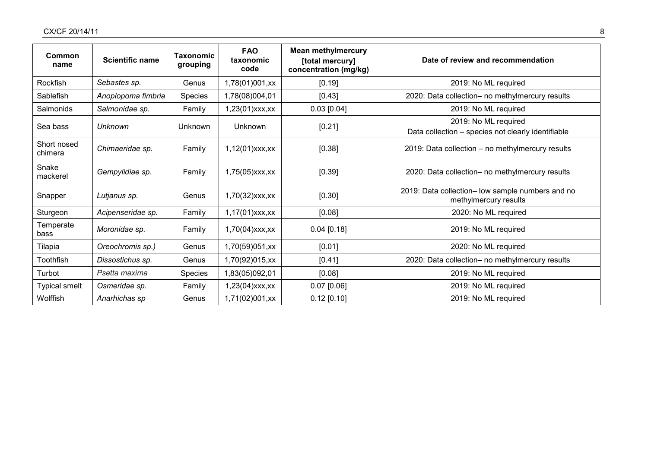| Common<br>name         | <b>Scientific name</b> | <b>Taxonomic</b><br>grouping | <b>FAO</b><br>taxonomic<br>code | <b>Mean methylmercury</b><br>[total mercury]<br>concentration (mg/kg) | Date of review and recommendation                                          |
|------------------------|------------------------|------------------------------|---------------------------------|-----------------------------------------------------------------------|----------------------------------------------------------------------------|
| Rockfish               | Sebastes sp.           | Genus                        | 1,78(01)001,xx                  | [0.19]                                                                | 2019: No ML required                                                       |
| Sablefish              | Anoplopoma fimbria     | <b>Species</b>               | 1,78(08)004,01                  | [0.43]                                                                | 2020: Data collection- no methylmercury results                            |
| Salmonids              | Salmonidae sp.         | Family                       | 1,23(01) xxx, xx                | $0.03$ [0.04]                                                         | 2019: No ML required                                                       |
| Sea bass               | Unknown                | Unknown                      | Unknown                         | [0.21]                                                                | 2019: No ML required<br>Data collection - species not clearly identifiable |
| Short nosed<br>chimera | Chimaeridae sp.        | Family                       | 1,12(01) xxx, xx                | [0.38]                                                                | 2019: Data collection - no methylmercury results                           |
| Snake<br>mackerel      | Gempylidiae sp.        | Family                       | $1,75(05)$ $xxx,xx$             | [0.39]                                                                | 2020: Data collection- no methylmercury results                            |
| Snapper                | Lutjanus sp.           | Genus                        | 1,70(32) xxx, xx                | [0.30]                                                                | 2019: Data collection- low sample numbers and no<br>methylmercury results  |
| Sturgeon               | Acipenseridae sp.      | Family                       | $1,17(01)$ xxx, xx              | [0.08]                                                                | 2020: No ML required                                                       |
| Temperate<br>bass      | Moronidae sp.          | Family                       | $1,70(04)$ xxx,xx               | $0.04$ [0.18]                                                         | 2019: No ML required                                                       |
| Tilapia                | Oreochromis sp.)       | Genus                        | 1,70(59)051,xx                  | [0.01]                                                                | 2020: No ML required                                                       |
| Toothfish              | Dissostichus sp.       | Genus                        | 1,70(92)015,xx                  | [0.41]                                                                | 2020: Data collection- no methylmercury results                            |
| Turbot                 | Psetta maxima          | Species                      | 1,83(05)092,01                  | [0.08]                                                                | 2019: No ML required                                                       |
| <b>Typical smelt</b>   | Osmeridae sp.          | Family                       | 1,23(04) xxx, xx                | $0.07$ [0.06]                                                         | 2019: No ML required                                                       |
| Wolffish               | Anarhichas sp          | Genus                        | 1,71(02)001,xx                  | $0.12$ [0.10]                                                         | 2019: No ML required                                                       |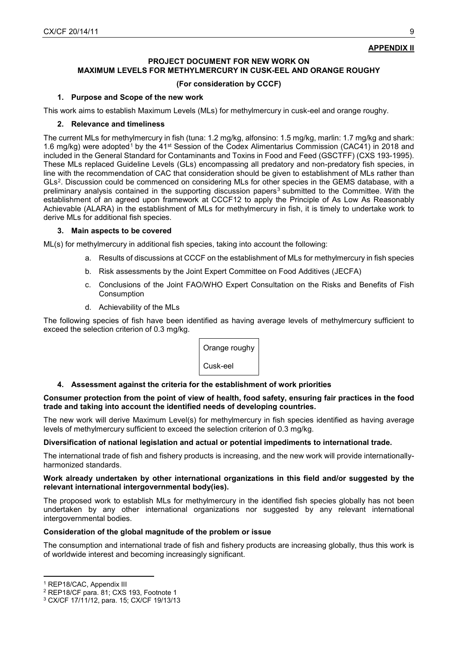## **PROJECT DOCUMENT FOR NEW WORK ON MAXIMUM LEVELS FOR METHYLMERCURY IN CUSK-EEL AND ORANGE ROUGHY**

## **(For consideration by CCCF)**

## **1. Purpose and Scope of the new work**

This work aims to establish Maximum Levels (MLs) for methylmercury in cusk-eel and orange roughy.

## **2. Relevance and timeliness**

The current MLs for methylmercury in fish (tuna: 1.2 mg/kg, alfonsino: 1.5 mg/kg, marlin: 1.7 mg/kg and shark: [1](#page-8-0).6 mg/kg) were adopted<sup>1</sup> by the 41<sup>st</sup> Session of the Codex Alimentarius Commission (CAC41) in 2018 and included in the General Standard for Contaminants and Toxins in Food and Feed (GSCTFF) (CXS 193-1995). These MLs replaced Guideline Levels (GLs) encompassing all predatory and non-predatory fish species, in line with the recommendation of CAC that consideration should be given to establishment of MLs rather than GLs[2](#page-8-1). Discussion could be commenced on considering MLs for other species in the GEMS database, with a preliminary analysis contained in the supporting discussion papers<sup>[3](#page-8-2)</sup> submitted to the Committee. With the establishment of an agreed upon framework at CCCF12 to apply the Principle of As Low As Reasonably Achievable (ALARA) in the establishment of MLs for methylmercury in fish, it is timely to undertake work to derive MLs for additional fish species.

## **3. Main aspects to be covered**

ML(s) for methylmercury in additional fish species, taking into account the following:

- a. Results of discussions at CCCF on the establishment of MLs for methylmercury in fish species
- b. Risk assessments by the Joint Expert Committee on Food Additives (JECFA)
- c. Conclusions of the Joint FAO/WHO Expert Consultation on the Risks and Benefits of Fish **Consumption**
- d. Achievability of the MLs

The following species of fish have been identified as having average levels of methylmercury sufficient to exceed the selection criterion of 0.3 mg/kg.



## **4. Assessment against the criteria for the establishment of work priorities**

## **Consumer protection from the point of view of health, food safety, ensuring fair practices in the food trade and taking into account the identified needs of developing countries.**

The new work will derive Maximum Level(s) for methylmercury in fish species identified as having average levels of methylmercury sufficient to exceed the selection criterion of 0.3 mg/kg.

## **Diversification of national legislation and actual or potential impediments to international trade.**

The international trade of fish and fishery products is increasing, and the new work will provide internationallyharmonized standards.

## **Work already undertaken by other international organizations in this field and/or suggested by the relevant international intergovernmental body(ies).**

The proposed work to establish MLs for methylmercury in the identified fish species globally has not been undertaken by any other international organizations nor suggested by any relevant international intergovernmental bodies.

## **Consideration of the global magnitude of the problem or issue**

The consumption and international trade of fish and fishery products are increasing globally, thus this work is of worldwide interest and becoming increasingly significant.

<sup>&</sup>lt;u>.</u> <sup>1</sup> REP18/CAC, Appendix III

<span id="page-8-1"></span><span id="page-8-0"></span><sup>2</sup> REP18/CF para. 81; CXS 193, Footnote 1

<span id="page-8-2"></span><sup>3</sup> CX/CF 17/11/12, para. 15; CX/CF 19/13/13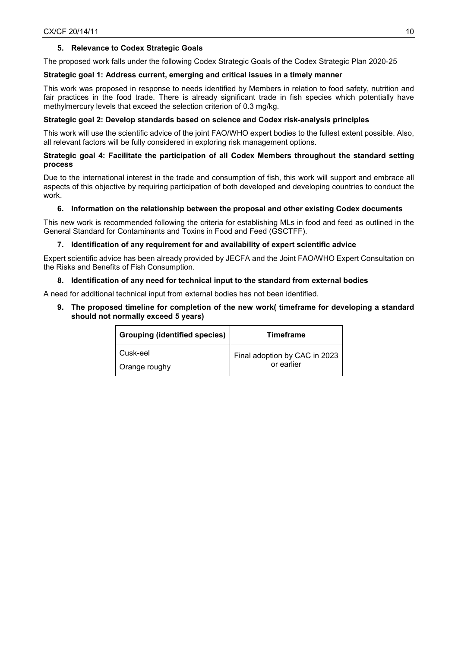## **5. Relevance to Codex Strategic Goals**

The proposed work falls under the following Codex Strategic Goals of the Codex Strategic Plan 2020-25

## **Strategic goal 1: Address current, emerging and critical issues in a timely manner**

This work was proposed in response to needs identified by Members in relation to food safety, nutrition and fair practices in the food trade. There is already significant trade in fish species which potentially have methylmercury levels that exceed the selection criterion of 0.3 mg/kg.

## **Strategic goal 2: Develop standards based on science and Codex risk-analysis principles**

This work will use the scientific advice of the joint FAO/WHO expert bodies to the fullest extent possible. Also, all relevant factors will be fully considered in exploring risk management options.

## **Strategic goal 4: Facilitate the participation of all Codex Members throughout the standard setting process**

Due to the international interest in the trade and consumption of fish, this work will support and embrace all aspects of this objective by requiring participation of both developed and developing countries to conduct the work.

## **6. Information on the relationship between the proposal and other existing Codex documents**

This new work is recommended following the criteria for establishing MLs in food and feed as outlined in the General Standard for Contaminants and Toxins in Food and Feed (GSCTFF).

## **7. Identification of any requirement for and availability of expert scientific advice**

Expert scientific advice has been already provided by JECFA and the Joint FAO/WHO Expert Consultation on the Risks and Benefits of Fish Consumption.

## **8. Identification of any need for technical input to the standard from external bodies**

A need for additional technical input from external bodies has not been identified.

**9. The proposed timeline for completion of the new work( timeframe for developing a standard should not normally exceed 5 years)**

| Grouping (identified species) | <b>Timeframe</b>              |
|-------------------------------|-------------------------------|
| Cusk-eel                      | Final adoption by CAC in 2023 |
| Orange roughy                 | or earlier                    |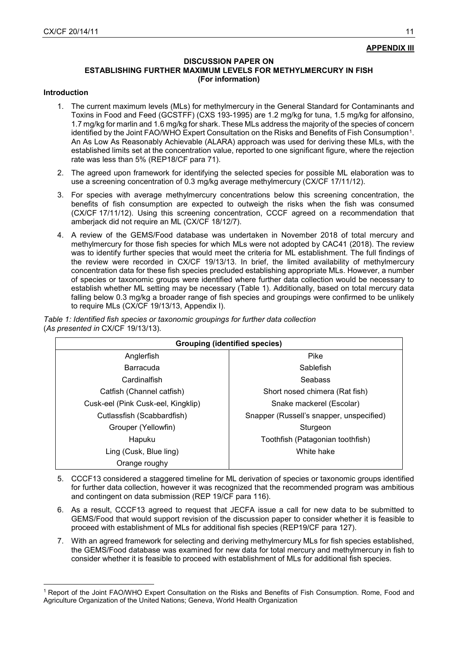#### **DISCUSSION PAPER ON**

## **ESTABLISHING FURTHER MAXIMUM LEVELS FOR METHYLMERCURY IN FISH (For information)**

#### **Introduction**

 $\overline{a}$ 

- 1. The current maximum levels (MLs) for methylmercury in the General Standard for Contaminants and Toxins in Food and Feed (GCSTFF) (CXS 193-1995) are 1.2 mg/kg for tuna, 1.5 mg/kg for alfonsino, 1.7 mg/kg for marlin and 1.6 mg/kg for shark. These MLs address the majority of the species of concern identified by the Joint FAO/WHO Expert Consultation on the Risks and Benefits of Fish Consumption[1.](#page-10-0) An As Low As Reasonably Achievable (ALARA) approach was used for deriving these MLs, with the established limits set at the concentration value, reported to one significant figure, where the rejection rate was less than 5% (REP18/CF para 71).
- 2. The agreed upon framework for identifying the selected species for possible ML elaboration was to use a screening concentration of 0.3 mg/kg average methylmercury (CX/CF 17/11/12).
- 3. For species with average methylmercury concentrations below this screening concentration, the benefits of fish consumption are expected to outweigh the risks when the fish was consumed (CX/CF 17/11/12). Using this screening concentration, CCCF agreed on a recommendation that amberjack did not require an ML (CX/CF 18/12/7).
- 4. A review of the GEMS/Food database was undertaken in November 2018 of total mercury and methylmercury for those fish species for which MLs were not adopted by CAC41 (2018). The review was to identify further species that would meet the criteria for ML establishment. The full findings of the review were recorded in CX/CF 19/13/13. In brief, the limited availability of methylmercury concentration data for these fish species precluded establishing appropriate MLs. However, a number of species or taxonomic groups were identified where further data collection would be necessary to establish whether ML setting may be necessary (Table 1). Additionally, based on total mercury data falling below 0.3 mg/kg a broader range of fish species and groupings were confirmed to be unlikely to require MLs (CX/CF 19/13/13, Appendix I).

| <b>Grouping (identified species)</b> |                                          |  |  |  |  |  |
|--------------------------------------|------------------------------------------|--|--|--|--|--|
| Anglerfish                           | Pike                                     |  |  |  |  |  |
| Barracuda                            | Sablefish                                |  |  |  |  |  |
| Cardinalfish                         | <b>Seabass</b>                           |  |  |  |  |  |
| Catfish (Channel catfish)            | Short nosed chimera (Rat fish)           |  |  |  |  |  |
| Cusk-eel (Pink Cusk-eel, Kingklip)   | Snake mackerel (Escolar)                 |  |  |  |  |  |
| Cutlassfish (Scabbardfish)           | Snapper (Russell's snapper, unspecified) |  |  |  |  |  |
| Grouper (Yellowfin)                  | Sturgeon                                 |  |  |  |  |  |
| Hapuku                               | Toothfish (Patagonian toothfish)         |  |  |  |  |  |
| Ling (Cusk, Blue ling)               | White hake                               |  |  |  |  |  |
| Orange roughy                        |                                          |  |  |  |  |  |

*Table 1: Identified fish species or taxonomic groupings for further data collection* (*As presented in* CX/CF 19/13/13)*.*

- 5. CCCF13 considered a staggered timeline for ML derivation of species or taxonomic groups identified for further data collection, however it was recognized that the recommended program was ambitious and contingent on data submission (REP 19/CF para 116).
- 6. As a result, CCCF13 agreed to request that JECFA issue a call for new data to be submitted to GEMS/Food that would support revision of the discussion paper to consider whether it is feasible to proceed with establishment of MLs for additional fish species (REP19/CF para 127).
- 7. With an agreed framework for selecting and deriving methylmercury MLs for fish species established, the GEMS/Food database was examined for new data for total mercury and methylmercury in fish to consider whether it is feasible to proceed with establishment of MLs for additional fish species.

<span id="page-10-0"></span><sup>&</sup>lt;sup>1</sup> Report of the Joint FAO/WHO Expert Consultation on the Risks and Benefits of Fish Consumption. Rome, Food and Agriculture Organization of the United Nations; Geneva, World Health Organization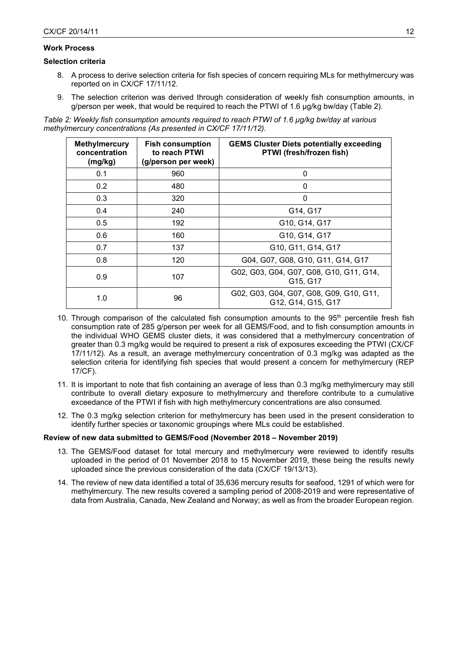## **Work Process**

#### **Selection criteria**

- 8. A process to derive selection criteria for fish species of concern requiring MLs for methylmercury was reported on in CX/CF 17/11/12.
- 9. The selection criterion was derived through consideration of weekly fish consumption amounts, in g/person per week, that would be required to reach the PTWI of 1.6 µg/kg bw/day (Table 2).

*Table 2: Weekly fish consumption amounts required to reach PTWI of 1.6 µg/kg bw/day at various methylmercury concentrations (As presented in CX/CF 17/11/12).*

| <b>Methylmercury</b><br>concentration<br>(mg/kg) | <b>Fish consumption</b><br>to reach PTWI<br>(g/person per week) | <b>GEMS Cluster Diets potentially exceeding</b><br>PTWI (fresh/frozen fish) |
|--------------------------------------------------|-----------------------------------------------------------------|-----------------------------------------------------------------------------|
| 0.1                                              | 960                                                             | ი                                                                           |
| 0.2                                              | 480                                                             | $\Omega$                                                                    |
| 0.3                                              | 320                                                             | $\Omega$                                                                    |
| 0.4                                              | 240                                                             | G14, G17                                                                    |
| 0.5                                              | 192                                                             | G10, G14, G17                                                               |
| 0.6                                              | 160                                                             | G10, G14, G17                                                               |
| 0.7                                              | 137                                                             | G10, G11, G14, G17                                                          |
| 0.8                                              | 120                                                             | G04, G07, G08, G10, G11, G14, G17                                           |
| 0.9                                              | 107                                                             | G02, G03, G04, G07, G08, G10, G11, G14,<br>G15, G17                         |
| 1.0                                              | 96                                                              | G02, G03, G04, G07, G08, G09, G10, G11,<br>G12, G14, G15, G17               |

- 10. Through comparison of the calculated fish consumption amounts to the 95<sup>th</sup> percentile fresh fish consumption rate of 285 g/person per week for all GEMS/Food, and to fish consumption amounts in the individual WHO GEMS cluster diets, it was considered that a methylmercury concentration of greater than 0.3 mg/kg would be required to present a risk of exposures exceeding the PTWI (CX/CF 17/11/12). As a result, an average methylmercury concentration of 0.3 mg/kg was adapted as the selection criteria for identifying fish species that would present a concern for methylmercury (REP 17/CF).
- 11. It is important to note that fish containing an average of less than 0.3 mg/kg methylmercury may still contribute to overall dietary exposure to methylmercury and therefore contribute to a cumulative exceedance of the PTWI if fish with high methylmercury concentrations are also consumed.
- 12. The 0.3 mg/kg selection criterion for methylmercury has been used in the present consideration to identify further species or taxonomic groupings where MLs could be established.

#### **Review of new data submitted to GEMS/Food (November 2018 – November 2019)**

- 13. The GEMS/Food dataset for total mercury and methylmercury were reviewed to identify results uploaded in the period of 01 November 2018 to 15 November 2019, these being the results newly uploaded since the previous consideration of the data (CX/CF 19/13/13).
- 14. The review of new data identified a total of 35,636 mercury results for seafood, 1291 of which were for methylmercury. The new results covered a sampling period of 2008-2019 and were representative of data from Australia, Canada, New Zealand and Norway; as well as from the broader European region.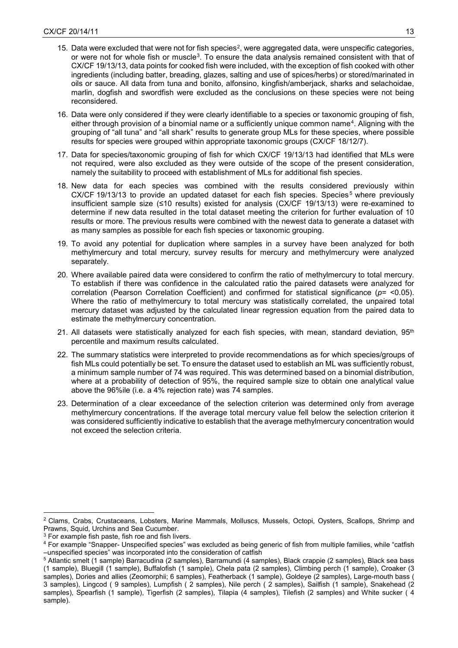- 15. Data were excluded that were not for fish species<sup>[2](#page-12-0)</sup>, were aggregated data, were unspecific categories, or were not for whole fish or muscle[3.](#page-12-1) To ensure the data analysis remained consistent with that of CX/CF 19/13/13, data points for cooked fish were included, with the exception of fish cooked with other ingredients (including batter, breading, glazes, salting and use of spices/herbs) or stored/marinated in oils or sauce. All data from tuna and bonito, alfonsino, kingfish/amberjack, sharks and selachoidae, marlin, dogfish and swordfish were excluded as the conclusions on these species were not being reconsidered.
- 16. Data were only considered if they were clearly identifiable to a species or taxonomic grouping of fish, either through provision of a binomial name or a sufficiently unique common name[4](#page-12-2). Aligning with the grouping of "all tuna" and "all shark" results to generate group MLs for these species, where possible results for species were grouped within appropriate taxonomic groups (CX/CF 18/12/7).
- 17. Data for species/taxonomic grouping of fish for which CX/CF 19/13/13 had identified that MLs were not required, were also excluded as they were outside of the scope of the present consideration, namely the suitability to proceed with establishment of MLs for additional fish species.
- 18. New data for each species was combined with the results considered previously within CX/CF 19/13/13 to provide an updated dataset for each fish species. Species<sup>[5](#page-12-3)</sup> where previously insufficient sample size (≤10 results) existed for analysis (CX/CF 19/13/13) were re-examined to determine if new data resulted in the total dataset meeting the criterion for further evaluation of 10 results or more. The previous results were combined with the newest data to generate a dataset with as many samples as possible for each fish species or taxonomic grouping.
- 19. To avoid any potential for duplication where samples in a survey have been analyzed for both methylmercury and total mercury, survey results for mercury and methylmercury were analyzed separately.
- 20. Where available paired data were considered to confirm the ratio of methylmercury to total mercury. To establish if there was confidence in the calculated ratio the paired datasets were analyzed for correlation (Pearson Correlation Coefficient) and confirmed for statistical significance (*p*= <0.05). Where the ratio of methylmercury to total mercury was statistically correlated, the unpaired total mercury dataset was adjusted by the calculated linear regression equation from the paired data to estimate the methylmercury concentration.
- 21. All datasets were statistically analyzed for each fish species, with mean, standard deviation,  $95<sup>th</sup>$ percentile and maximum results calculated.
- 22. The summary statistics were interpreted to provide recommendations as for which species/groups of fish MLs could potentially be set. To ensure the dataset used to establish an ML was sufficiently robust, a minimum sample number of 74 was required. This was determined based on a binomial distribution, where at a probability of detection of 95%, the required sample size to obtain one analytical value above the 96%ile (i.e. a 4% rejection rate) was 74 samples.
- 23. Determination of a clear exceedance of the selection criterion was determined only from average methylmercury concentrations. If the average total mercury value fell below the selection criterion it was considered sufficiently indicative to establish that the average methylmercury concentration would not exceed the selection criteria.

 $\overline{a}$ 

<span id="page-12-0"></span><sup>2</sup> Clams, Crabs, Crustaceans, Lobsters, Marine Mammals, Molluscs, Mussels, Octopi, Oysters, Scallops, Shrimp and Prawns, Squid, Urchins and Sea Cucumber.

<span id="page-12-1"></span><sup>3</sup> For example fish paste, fish roe and fish livers.

<span id="page-12-2"></span><sup>4</sup> For example "Snapper- Unspecified species" was excluded as being generic of fish from multiple families, while "catfish –unspecified species" was incorporated into the consideration of catfish

<span id="page-12-3"></span><sup>5</sup> Atlantic smelt (1 sample) Barracudina (2 samples), Barramundi (4 samples), Black crappie (2 samples), Black sea bass (1 sample), Bluegill (1 sample), Buffalofish (1 sample), Chela pata (2 samples), Climbing perch (1 sample), Croaker (3 samples), Dories and allies (Zeomorphii; 6 samples), Featherback (1 sample), Goldeye (2 samples), Large-mouth bass ( 3 samples), Lingcod ( 9 samples), Lumpfish ( 2 samples), Nile perch ( 2 samples), Sailfish (1 sample), Snakehead (2 samples), Spearfish (1 sample), Tigerfish (2 samples), Tilapia (4 samples), Tilefish (2 samples) and White sucker ( 4 sample).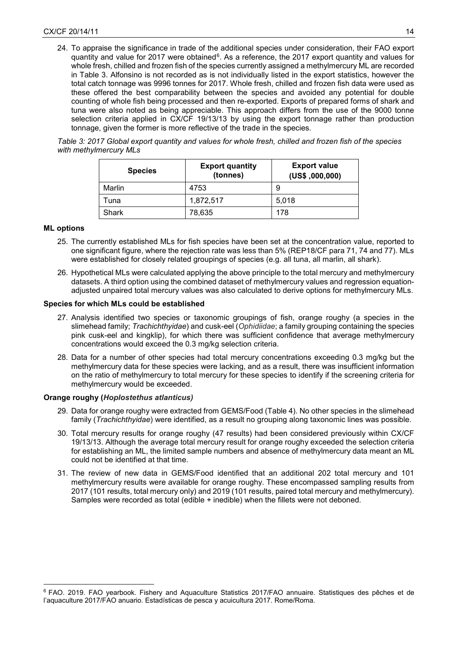24. To appraise the significance in trade of the additional species under consideration, their FAO export quantity and value for 2017 were obtained<sup>[6](#page-13-0)</sup>. As a reference, the 2017 export quantity and values for whole fresh, chilled and frozen fish of the species currently assigned a methylmercury ML are recorded in Table 3. Alfonsino is not recorded as is not individually listed in the export statistics, however the total catch tonnage was 9996 tonnes for 2017. Whole fresh, chilled and frozen fish data were used as these offered the best comparability between the species and avoided any potential for double counting of whole fish being processed and then re-exported. Exports of prepared forms of shark and tuna were also noted as being appreciable. This approach differs from the use of the 9000 tonne selection criteria applied in CX/CF 19/13/13 by using the export tonnage rather than production tonnage, given the former is more reflective of the trade in the species.

*Table 3: 2017 Global export quantity and values for whole fresh, chilled and frozen fish of the species with methylmercury MLs* 

| <b>Species</b> | <b>Export quantity</b><br>(tonnes) | <b>Export value</b><br>(US\$, 000, 000) |  |  |
|----------------|------------------------------------|-----------------------------------------|--|--|
| Marlin         | 4753                               | 9                                       |  |  |
| Tuna           | 1,872,517                          | 5.018                                   |  |  |
| Shark          | 78,635                             | 178                                     |  |  |

## **ML options**

 $\overline{a}$ 

- 25. The currently established MLs for fish species have been set at the concentration value, reported to one significant figure, where the rejection rate was less than 5% (REP18/CF para 71, 74 and 77). MLs were established for closely related groupings of species (e.g. all tuna, all marlin, all shark).
- 26. Hypothetical MLs were calculated applying the above principle to the total mercury and methylmercury datasets. A third option using the combined dataset of methylmercury values and regression equationadjusted unpaired total mercury values was also calculated to derive options for methylmercury MLs.

## **Species for which MLs could be established**

- 27. Analysis identified two species or taxonomic groupings of fish, orange roughy (a species in the slimehead family; *Trachichthyidae*) and cusk-eel (*Ophidiidae*; a family grouping containing the species pink cusk-eel and kingklip), for which there was sufficient confidence that average methylmercury concentrations would exceed the 0.3 mg/kg selection criteria.
- 28. Data for a number of other species had total mercury concentrations exceeding 0.3 mg/kg but the methylmercury data for these species were lacking, and as a result, there was insufficient information on the ratio of methylmercury to total mercury for these species to identify if the screening criteria for methylmercury would be exceeded.

## **Orange roughy (***Hoplostethus atlanticus)*

- 29. Data for orange roughy were extracted from GEMS/Food (Table 4). No other species in the slimehead family (*Trachichthyidae*) were identified, as a result no grouping along taxonomic lines was possible.
- 30. Total mercury results for orange roughy (47 results) had been considered previously within CX/CF 19/13/13. Although the average total mercury result for orange roughy exceeded the selection criteria for establishing an ML, the limited sample numbers and absence of methylmercury data meant an ML could not be identified at that time.
- 31. The review of new data in GEMS/Food identified that an additional 202 total mercury and 101 methylmercury results were available for orange roughy. These encompassed sampling results from 2017 (101 results, total mercury only) and 2019 (101 results, paired total mercury and methylmercury). Samples were recorded as total (edible + inedible) when the fillets were not deboned.

<span id="page-13-0"></span><sup>6</sup> FAO. 2019. FAO yearbook. Fishery and Aquaculture Statistics 2017/FAO annuaire. Statistiques des pêches et de l'aquaculture 2017/FAO anuario. Estadísticas de pesca y acuicultura 2017. Rome/Roma.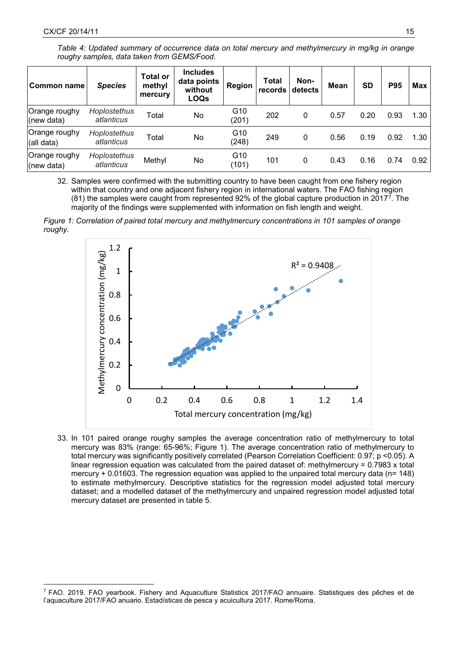$\overline{a}$ 

*Table 4: Updated summary of occurrence data on total mercury and methylmercury in mg/kg in orange roughy samples, data taken from GEMS/Food.*

| Common name                 | <b>Species</b>             | <b>Total or</b><br>methyl<br>mercury | <b>Includes</b><br>data points<br>without<br><b>LOQs</b> | Region                   | Total<br>records | Non-<br>detects | <b>Mean</b> | <b>SD</b> | <b>P95</b> | Max  |
|-----------------------------|----------------------------|--------------------------------------|----------------------------------------------------------|--------------------------|------------------|-----------------|-------------|-----------|------------|------|
| Orange roughy<br>(new data) | Hoplostethus<br>atlanticus | Total                                | No                                                       | G10<br>(201)             | 202              | 0               | 0.57        | 0.20      | 0.93       | 1.30 |
| Orange roughy<br>(all data) | Hoplostethus<br>atlanticus | Total                                | No                                                       | G10<br>(248)             | 249              | 0               | 0.56        | 0.19      | 0.92       | 1.30 |
| Orange roughy<br>(new data) | Hoplostethus<br>atlanticus | Methyl                               | No                                                       | G <sub>10</sub><br>(101) | 101              | 0               | 0.43        | 0.16      | 0.74       | 0.92 |

32. Samples were confirmed with the submitting country to have been caught from one fishery region within that country and one adjacent fishery region in international waters. The FAO fishing region (81) the samples were caught from represented 92% of the global capture production in 2017[7.](#page-14-0) The majority of the findings were supplemented with information on fish length and weight.





33. In 101 paired orange roughy samples the average concentration ratio of methylmercury to total mercury was 83% (range: 65-96%; Figure 1). The average concentration ratio of methylmercury to total mercury was significantly positively correlated (Pearson Correlation Coefficient: 0.97; p <0.05). A linear regression equation was calculated from the paired dataset of: methylmercury = 0.7983 x total mercury + 0.01603. The regression equation was applied to the unpaired total mercury data (n= 148) to estimate methylmercury. Descriptive statistics for the regression model adjusted total mercury dataset; and a modelled dataset of the methylmercury and unpaired regression model adjusted total mercury dataset are presented in table 5.

<span id="page-14-0"></span><sup>7</sup> FAO. 2019. FAO yearbook. Fishery and Aquaculture Statistics 2017/FAO annuaire. Statistiques des pêches et de l'aquaculture 2017/FAO anuario. Estadísticas de pesca y acuicultura 2017. Rome/Roma.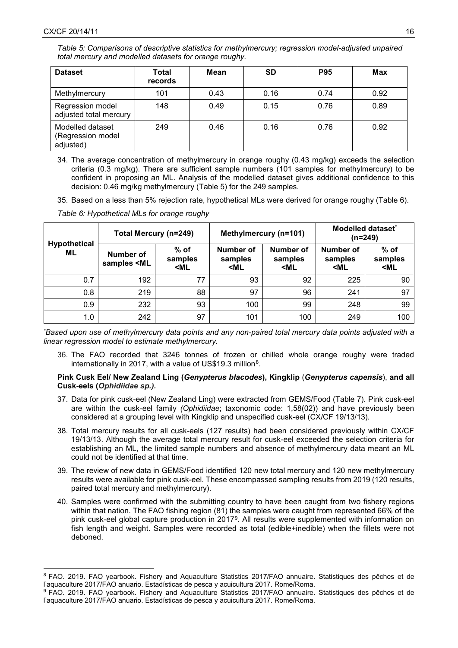*Table 5: Comparisons of descriptive statistics for methylmercury; regression model-adjusted unpaired total mercury and modelled datasets for orange roughy.*

| <b>Dataset</b>                                     | Total<br>records | Mean | <b>SD</b> | <b>P95</b> | Max  |
|----------------------------------------------------|------------------|------|-----------|------------|------|
| Methylmercury                                      | 101              | 0.43 | 0.16      | 0.74       | 0.92 |
| Regression model<br>adjusted total mercury         | 148              | 0.49 | 0.15      | 0.76       | 0.89 |
| Modelled dataset<br>(Regression model<br>adjusted) | 249              | 0.46 | 0.16      | 0.76       | 0.92 |

34. The average concentration of methylmercury in orange roughy (0.43 mg/kg) exceeds the selection criteria (0.3 mg/kg). There are sufficient sample numbers (101 samples for methylmercury) to be confident in proposing an ML. Analysis of the modelled dataset gives additional confidence to this decision: 0.46 mg/kg methylmercury (Table 5) for the 249 samples.

35. Based on a less than 5% rejection rate, hypothetical MLs were derived for orange roughy (Table 6).

*Table 6: Hypothetical MLs for orange roughy*

|                           | Total Mercury (n=249)                                                                                                                                                                                                                                                                                         |                                                                                                                                                                                                                                                   |                                                                                                                                                                                                  | Methylmercury (n=101)                                                                                                                        | Modelled dataset <sup>®</sup><br>(n=249)                                                 |                                      |  |
|---------------------------|---------------------------------------------------------------------------------------------------------------------------------------------------------------------------------------------------------------------------------------------------------------------------------------------------------------|---------------------------------------------------------------------------------------------------------------------------------------------------------------------------------------------------------------------------------------------------|--------------------------------------------------------------------------------------------------------------------------------------------------------------------------------------------------|----------------------------------------------------------------------------------------------------------------------------------------------|------------------------------------------------------------------------------------------|--------------------------------------|--|
| <b>Hypothetical</b><br>ML | Number of<br>samples <ml< th=""><th><math>%</math> of<br/>samples<br/><ml< th=""><th>Number of<br/>samples<br/><ml< th=""><th>Number of<br/>samples<br/><ml< th=""><th>Number of<br/>samples<br/><ml< th=""><th>% of<br/>samples<br/><ml< th=""></ml<></th></ml<></th></ml<></th></ml<></th></ml<></th></ml<> | $%$ of<br>samples<br><ml< th=""><th>Number of<br/>samples<br/><ml< th=""><th>Number of<br/>samples<br/><ml< th=""><th>Number of<br/>samples<br/><ml< th=""><th>% of<br/>samples<br/><ml< th=""></ml<></th></ml<></th></ml<></th></ml<></th></ml<> | Number of<br>samples<br><ml< th=""><th>Number of<br/>samples<br/><ml< th=""><th>Number of<br/>samples<br/><ml< th=""><th>% of<br/>samples<br/><ml< th=""></ml<></th></ml<></th></ml<></th></ml<> | Number of<br>samples<br><ml< th=""><th>Number of<br/>samples<br/><ml< th=""><th>% of<br/>samples<br/><ml< th=""></ml<></th></ml<></th></ml<> | Number of<br>samples<br><ml< th=""><th>% of<br/>samples<br/><ml< th=""></ml<></th></ml<> | % of<br>samples<br><ml< th=""></ml<> |  |
| 0.7                       | 192                                                                                                                                                                                                                                                                                                           | 77                                                                                                                                                                                                                                                | 93                                                                                                                                                                                               | 92                                                                                                                                           | 225                                                                                      | 90                                   |  |
| 0.8                       | 219                                                                                                                                                                                                                                                                                                           | 88                                                                                                                                                                                                                                                | 97                                                                                                                                                                                               | 96                                                                                                                                           | 241                                                                                      | 97                                   |  |
| 0.9                       | 232                                                                                                                                                                                                                                                                                                           | 93                                                                                                                                                                                                                                                | 100                                                                                                                                                                                              | 99                                                                                                                                           | 248                                                                                      | 99                                   |  |
| 1.0                       | 242                                                                                                                                                                                                                                                                                                           | 97                                                                                                                                                                                                                                                | 101                                                                                                                                                                                              | 100                                                                                                                                          | 249                                                                                      | 100                                  |  |

*\* Based upon use of methylmercury data points and any non-paired total mercury data points adjusted with a linear regression model to estimate methylmercury.*

36. The FAO recorded that 3246 tonnes of frozen or chilled whole orange roughy were traded internationally in 2017, with a value of US\$19.3 million<sup>[8](#page-15-0)</sup>.

## **Pink Cusk Eel/ New Zealand Ling (***Genypterus blacodes***), Kingklip** (*Genypterus capensis*), **and all Cusk-eels (***Ophidiidae sp.).*

- 37. Data for pink cusk-eel (New Zealand Ling) were extracted from GEMS/Food (Table 7). Pink cusk-eel are within the cusk-eel family *(Ophidiidae*; taxonomic code: 1,58(02)) and have previously been considered at a grouping level with Kingklip and unspecified cusk-eel (CX/CF 19/13/13)*.*
- 38. Total mercury results for all cusk-eels (127 results) had been considered previously within CX/CF 19/13/13. Although the average total mercury result for cusk-eel exceeded the selection criteria for establishing an ML, the limited sample numbers and absence of methylmercury data meant an ML could not be identified at that time.
- 39. The review of new data in GEMS/Food identified 120 new total mercury and 120 new methylmercury results were available for pink cusk-eel. These encompassed sampling results from 2019 (120 results, paired total mercury and methylmercury).
- 40. Samples were confirmed with the submitting country to have been caught from two fishery regions within that nation. The FAO fishing region (81) the samples were caught from represented 66% of the pink cusk-eel global capture production in 2017[9](#page-15-1). All results were supplemented with information on fish length and weight. Samples were recorded as total (edible+inedible) when the fillets were not deboned.

<span id="page-15-0"></span> $\overline{a}$ <sup>8</sup> FAO. 2019. FAO yearbook. Fishery and Aquaculture Statistics 2017/FAO annuaire. Statistiques des pêches et de l'aquaculture 2017/FAO anuario. Estadísticas de pesca y acuicultura 2017. Rome/Roma.

<span id="page-15-1"></span><sup>9</sup> FAO. 2019. FAO yearbook. Fishery and Aquaculture Statistics 2017/FAO annuaire. Statistiques des pêches et de l'aquaculture 2017/FAO anuario. Estadísticas de pesca y acuicultura 2017. Rome/Roma.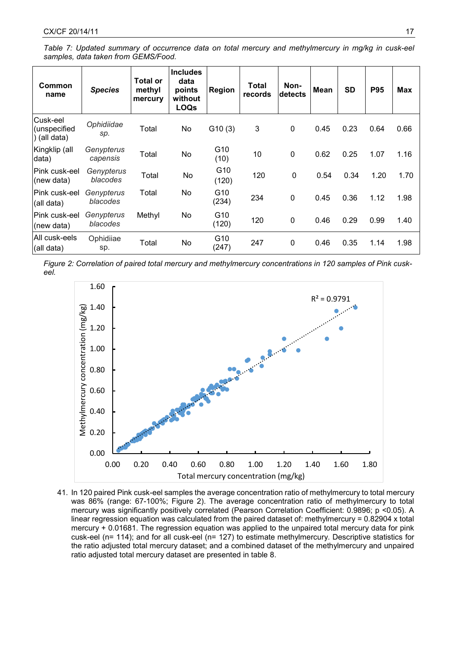*Table 7: Updated summary of occurrence data on total mercury and methylmercury in mg/kg in cusk-eel samples, data taken from GEMS/Food.*

| Common<br>name                           | <b>Species</b>         | <b>Total or</b><br>methyl<br>mercury | <b>Includes</b><br>data<br>points<br>without<br><b>LOQs</b> | <b>Region</b> | <b>Total</b><br>records | Non-<br>detects | <b>Mean</b> | <b>SD</b> | <b>P95</b> | Max  |
|------------------------------------------|------------------------|--------------------------------------|-------------------------------------------------------------|---------------|-------------------------|-----------------|-------------|-----------|------------|------|
| Cusk-eel<br>(unspecified<br>) (all data) | Ophidiidae<br>sp.      | Total                                | No                                                          | G10(3)        | 3                       | $\pmb{0}$       | 0.45        | 0.23      | 0.64       | 0.66 |
| Kingklip (all<br>data)                   | Genypterus<br>capensis | Total                                | No                                                          | G10<br>(10)   | 10                      | $\mathbf 0$     | 0.62        | 0.25      | 1.07       | 1.16 |
| IPink cusk-eel<br>(new data)             | Genypterus<br>blacodes | Total                                | No                                                          | G10<br>(120)  | 120                     | 0               | 0.54        | 0.34      | 1.20       | 1.70 |
| lPink cusk-eel<br>(all data)             | Genypterus<br>blacodes | Total                                | No                                                          | G10<br>(234)  | 234                     | $\mathbf 0$     | 0.45        | 0.36      | 1.12       | 1.98 |
| lPink cusk-eel<br>(new data)             | Genypterus<br>blacodes | Methyl                               | No                                                          | G10<br>(120)  | 120                     | $\mathbf 0$     | 0.46        | 0.29      | 0.99       | 1.40 |
| All cusk-eels<br>(all data)              | Ophidiiae<br>sp.       | Total                                | No                                                          | G10<br>(247)  | 247                     | 0               | 0.46        | 0.35      | 1.14       | 1.98 |

*Figure 2: Correlation of paired total mercury and methylmercury concentrations in 120 samples of Pink cuskeel.*



41. In 120 paired Pink cusk-eel samples the average concentration ratio of methylmercury to total mercury was 86% (range: 67-100%; Figure 2). The average concentration ratio of methylmercury to total mercury was significantly positively correlated (Pearson Correlation Coefficient: 0.9896; p <0.05). A linear regression equation was calculated from the paired dataset of: methylmercury = 0.82904 x total mercury + 0.01681. The regression equation was applied to the unpaired total mercury data for pink cusk-eel (n= 114); and for all cusk-eel (n= 127) to estimate methylmercury. Descriptive statistics for the ratio adjusted total mercury dataset; and a combined dataset of the methylmercury and unpaired ratio adjusted total mercury dataset are presented in table 8.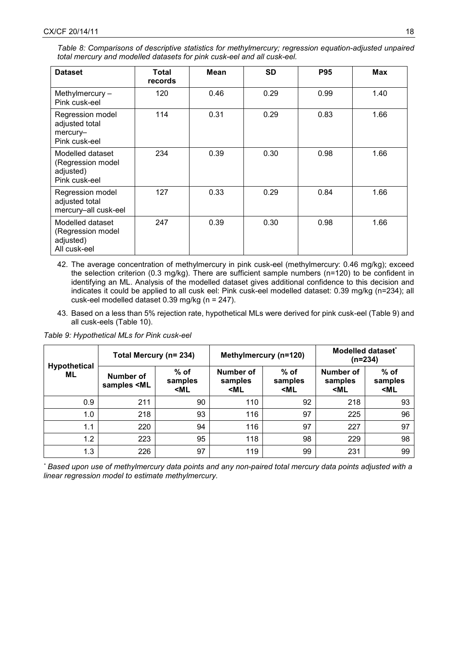| Table 8: Comparisons of descriptive statistics for methylmercury; regression equation-adjusted unpaired |  |  |
|---------------------------------------------------------------------------------------------------------|--|--|
| total mercury and modelled datasets for pink cusk-eel and all cusk-eel.                                 |  |  |

| <b>Dataset</b>                                                      | Total<br>records | Mean | <b>SD</b> | <b>P95</b> | Max  |
|---------------------------------------------------------------------|------------------|------|-----------|------------|------|
| Methylmercury-<br>Pink cusk-eel                                     | 120              | 0.46 | 0.29      | 0.99       | 1.40 |
| Regression model<br>adjusted total<br>mercury-<br>Pink cusk-eel     | 114              | 0.31 | 0.29      | 0.83       | 1.66 |
| Modelled dataset<br>(Regression model<br>adjusted)<br>Pink cusk-eel | 234              | 0.39 | 0.30      | 0.98       | 1.66 |
| Regression model<br>adjusted total<br>mercury-all cusk-eel          | 127              | 0.33 | 0.29      | 0.84       | 1.66 |
| Modelled dataset<br>(Regression model<br>adjusted)<br>All cusk-eel  | 247              | 0.39 | 0.30      | 0.98       | 1.66 |

- 42. The average concentration of methylmercury in pink cusk-eel (methylmercury: 0.46 mg/kg); exceed the selection criterion (0.3 mg/kg). There are sufficient sample numbers (n=120) to be confident in identifying an ML. Analysis of the modelled dataset gives additional confidence to this decision and indicates it could be applied to all cusk eel: Pink cusk-eel modelled dataset: 0.39 mg/kg (n=234); all cusk-eel modelled dataset 0.39 mg/kg (n = 247).
- 43. Based on a less than 5% rejection rate, hypothetical MLs were derived for pink cusk-eel (Table 9) and all cusk-eels (Table 10).

**Hypothetical ML Total Mercury (n= 234) Methylmercury (n=120) Modelled dataset\* (n=234) Number of samples <ML % of samples <ML Number of samples <ML % of samples <ML Number of samples <ML % of samples <ML** 0.9 | 211 | 90 | 110 | 92 | 218 | 93 1.0 | 218 | 93 | 116 | 97 | 225 | 96 1.1 | 220 | 94 | 116 | 97 | 227 | 97 1.2 | 223 | 95 | 118 | 98 | 229 | 98 1.3 | 226 | 97 | 119 | 99 | 231 | 99

*Table 9: Hypothetical MLs for Pink cusk-eel*

*\* Based upon use of methylmercury data points and any non-paired total mercury data points adjusted with a linear regression model to estimate methylmercury.*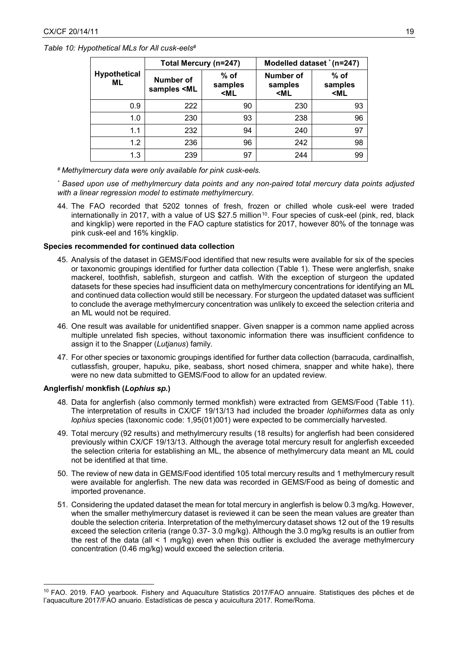*Table 10: Hypothetical MLs for All cusk-eels#*

|                            | Total Mercury (n=247)                                                                                                                                                                                                     |                                                                                                                                                               | Modelled dataset * (n=247)                                                                                   |                                        |  |  |  |
|----------------------------|---------------------------------------------------------------------------------------------------------------------------------------------------------------------------------------------------------------------------|---------------------------------------------------------------------------------------------------------------------------------------------------------------|--------------------------------------------------------------------------------------------------------------|----------------------------------------|--|--|--|
| <b>Hypothetical</b><br>ML. | Number of<br>samples <ml< th=""><th><math>%</math> of<br/>samples<br/><ml< th=""><th><b>Number of</b><br/>samples<br/><ml< th=""><th><math>%</math> of<br/>samples<br/><ml< th=""></ml<></th></ml<></th></ml<></th></ml<> | $%$ of<br>samples<br><ml< th=""><th><b>Number of</b><br/>samples<br/><ml< th=""><th><math>%</math> of<br/>samples<br/><ml< th=""></ml<></th></ml<></th></ml<> | <b>Number of</b><br>samples<br><ml< th=""><th><math>%</math> of<br/>samples<br/><ml< th=""></ml<></th></ml<> | $%$ of<br>samples<br><ml< th=""></ml<> |  |  |  |
| 0.9                        | 222                                                                                                                                                                                                                       | 90                                                                                                                                                            | 230                                                                                                          | 93                                     |  |  |  |
| 1.0                        | 230                                                                                                                                                                                                                       | 93                                                                                                                                                            | 238                                                                                                          | 96                                     |  |  |  |
| 1.1                        | 232                                                                                                                                                                                                                       | 94                                                                                                                                                            | 240                                                                                                          | 97                                     |  |  |  |
| 1.2                        | 236                                                                                                                                                                                                                       | 96                                                                                                                                                            | 242                                                                                                          | 98                                     |  |  |  |
| 1.3                        | 239                                                                                                                                                                                                                       | 97                                                                                                                                                            | 244                                                                                                          | 99                                     |  |  |  |

*# Methylmercury data were only available for pink cusk-eels.*

*\* Based upon use of methylmercury data points and any non-paired total mercury data points adjusted with a linear regression model to estimate methylmercury.*

44. The FAO recorded that 5202 tonnes of fresh, frozen or chilled whole cusk-eel were traded internationally in 2017, with a value of US \$27.5 million<sup>10</sup>. Four species of cusk-eel (pink, red, black and kingklip) were reported in the FAO capture statistics for 2017, however 80% of the tonnage was pink cusk-eel and 16% kingklip.

## **Species recommended for continued data collection**

- 45. Analysis of the dataset in GEMS/Food identified that new results were available for six of the species or taxonomic groupings identified for further data collection (Table 1). These were anglerfish, snake mackerel, toothfish, sablefish, sturgeon and catfish. With the exception of sturgeon the updated datasets for these species had insufficient data on methylmercury concentrations for identifying an ML and continued data collection would still be necessary. For sturgeon the updated dataset was sufficient to conclude the average methylmercury concentration was unlikely to exceed the selection criteria and an ML would not be required.
- 46. One result was available for unidentified snapper. Given snapper is a common name applied across multiple unrelated fish species, without taxonomic information there was insufficient confidence to assign it to the Snapper (*Lutjanus*) family.
- 47. For other species or taxonomic groupings identified for further data collection (barracuda, cardinalfish, cutlassfish, grouper, hapuku, pike, seabass, short nosed chimera, snapper and white hake), there were no new data submitted to GEMS/Food to allow for an updated review.

#### **Anglerfish/ monkfish (***Lophius sp.***)**

 $\overline{a}$ 

- 48. Data for anglerfish (also commonly termed monkfish) were extracted from GEMS/Food (Table 11). The interpretation of results in CX/CF 19/13/13 had included the broader *lophiiformes* data as only *lophius* species (taxonomic code: 1,95(01)001) were expected to be commercially harvested.
- 49. Total mercury (92 results) and methylmercury results (18 results) for anglerfish had been considered previously within CX/CF 19/13/13. Although the average total mercury result for anglerfish exceeded the selection criteria for establishing an ML, the absence of methylmercury data meant an ML could not be identified at that time.
- 50. The review of new data in GEMS/Food identified 105 total mercury results and 1 methylmercury result were available for anglerfish. The new data was recorded in GEMS/Food as being of domestic and imported provenance.
- 51. Considering the updated dataset the mean for total mercury in anglerfish is below 0.3 mg/kg. However, when the smaller methylmercury dataset is reviewed it can be seen the mean values are greater than double the selection criteria. Interpretation of the methylmercury dataset shows 12 out of the 19 results exceed the selection criteria (range 0.37- 3.0 mg/kg). Although the 3.0 mg/kg results is an outlier from the rest of the data (all  $\leq 1$  mg/kg) even when this outlier is excluded the average methylmercury concentration (0.46 mg/kg) would exceed the selection criteria.

<span id="page-18-0"></span><sup>10</sup> FAO. 2019. FAO yearbook. Fishery and Aquaculture Statistics 2017/FAO annuaire. Statistiques des pêches et de l'aquaculture 2017/FAO anuario. Estadísticas de pesca y acuicultura 2017. Rome/Roma.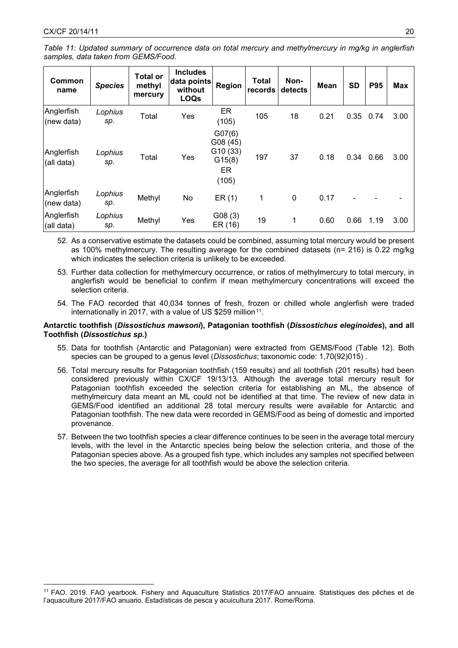$\overline{a}$ 

| Common<br>name           | <b>Species</b> | <b>Total or</b><br>methyl<br>mercury | <b>Includes</b><br>data points<br>without<br><b>LOQs</b> | Region                                                 | <b>Total</b><br>records | Non-<br>detects | <b>Mean</b> | <b>SD</b> | <b>P95</b> | <b>Max</b> |
|--------------------------|----------------|--------------------------------------|----------------------------------------------------------|--------------------------------------------------------|-------------------------|-----------------|-------------|-----------|------------|------------|
| Anglerfish<br>(new data) | Lophius<br>sp. | Total                                | Yes                                                      | ER<br>(105)                                            | 105                     | 18              | 0.21        | 0.35      | 0.74       | 3.00       |
| Anglerfish<br>(all data) | Lophius<br>sp. | Total                                | Yes                                                      | G07(6)<br>G08 (45)<br>G10(33)<br>G15(8)<br>ER<br>(105) | 197                     | 37              | 0.18        | 0.34      | 0.66       | 3.00       |
| Anglerfish<br>(new data) | Lophius<br>sp. | Methyl                               | No                                                       | ER(1)                                                  | 1                       | $\mathbf 0$     | 0.17        |           |            |            |
| Anglerfish<br>(all data) | Lophius<br>sp. | Methyl                               | Yes                                                      | G08(3)<br>ER (16)                                      | 19                      | 1               | 0.60        | 0.66      | 1.19       | 3.00       |

52. As a conservative estimate the datasets could be combined, assuming total mercury would be present as 100% methylmercury. The resulting average for the combined datasets (n= 216) is 0.22 mg/kg which indicates the selection criteria is unlikely to be exceeded.

- 53. Further data collection for methylmercury occurrence, or ratios of methylmercury to total mercury, in anglerfish would be beneficial to confirm if mean methylmercury concentrations will exceed the selection criteria.
- 54. The FAO recorded that 40,034 tonnes of fresh, frozen or chilled whole anglerfish were traded internationally in 2017, with a value of US \$259 million<sup>11</sup>.

## **Antarctic toothfish (***Dissostichus mawsoni***), Patagonian toothfish (***Dissostichus eleginoides***), and all Toothfish (***Dissostichus sp.***)**

- 55. Data for toothfish (Antarctic and Patagonian) were extracted from GEMS/Food (Table 12). Both species can be grouped to a genus level (*Dissostichus*; taxonomic code: 1,70(92)015) .
- 56. Total mercury results for Patagonian toothfish (159 results) and all toothfish (201 results) had been considered previously within CX/CF 19/13/13. Although the average total mercury result for Patagonian toothfish exceeded the selection criteria for establishing an ML, the absence of methylmercury data meant an ML could not be identified at that time. The review of new data in GEMS/Food identified an additional 28 total mercury results were available for Antarctic and Patagonian toothfish. The new data were recorded in GEMS/Food as being of domestic and imported provenance.
- 57. Between the two toothfish species a clear difference continues to be seen in the average total mercury levels, with the level in the Antarctic species being below the selection criteria, and those of the Patagonian species above. As a grouped fish type, which includes any samples not specified between the two species, the average for all toothfish would be above the selection criteria.

<span id="page-19-0"></span><sup>11</sup> FAO. 2019. FAO yearbook. Fishery and Aquaculture Statistics 2017/FAO annuaire. Statistiques des pêches et de l'aquaculture 2017/FAO anuario. Estadísticas de pesca y acuicultura 2017. Rome/Roma.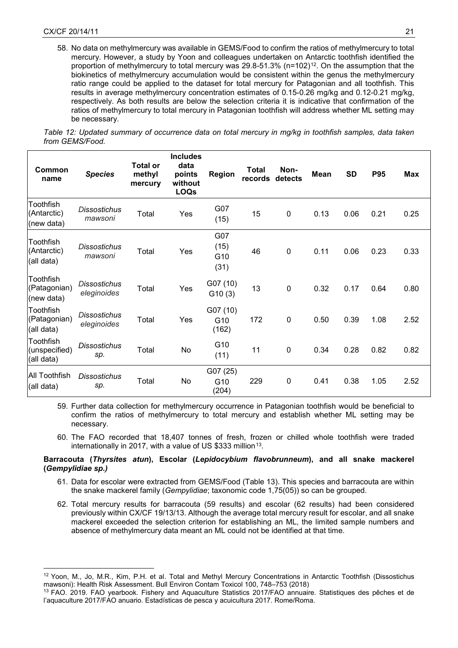$\overline{a}$ 

58. No data on methylmercury was available in GEMS/Food to confirm the ratios of methylmercury to total mercury. However, a study by Yoon and colleagues undertaken on Antarctic toothfish identified the proportion of methylmercury to total mercury was  $29.8-51.3\%$  (n=102)<sup>[12](#page-20-0)</sup>. On the assumption that the biokinetics of methylmercury accumulation would be consistent within the genus the methylmercury ratio range could be applied to the dataset for total mercury for Patagonian and all toothfish. This results in average methylmercury concentration estimates of 0.15-0.26 mg/kg and 0.12-0.21 mg/kg, respectively. As both results are below the selection criteria it is indicative that confirmation of the ratios of methylmercury to total mercury in Patagonian toothfish will address whether ML setting may be necessary.

| Table 12: Updated summary of occurrence data on total mercury in mg/kg in toothfish samples, data taken |  |  |  |  |  |
|---------------------------------------------------------------------------------------------------------|--|--|--|--|--|
| from GEMS/Food.                                                                                         |  |  |  |  |  |

| Common<br>name                           | <b>Species</b>                     | <b>Total or</b><br>methyl<br>mercury | <b>Includes</b><br>data<br>points<br>without<br><b>LOQs</b> | <b>Region</b>                        | <b>Total</b><br>records | Non-<br>detects | <b>Mean</b> | <b>SD</b> | <b>P95</b> | Max  |
|------------------------------------------|------------------------------------|--------------------------------------|-------------------------------------------------------------|--------------------------------------|-------------------------|-----------------|-------------|-----------|------------|------|
| Toothfish<br>(Antarctic)<br>(new data)   | <b>Dissostichus</b><br>mawsoni     | Total                                | Yes                                                         | G07<br>(15)                          | 15                      | $\mathbf 0$     | 0.13        | 0.06      | 0.21       | 0.25 |
| Toothfish<br>(Antarctic)<br>(all data)   | <b>Dissostichus</b><br>mawsoni     | Total                                | Yes                                                         | G07<br>(15)<br>G10<br>(31)           | 46                      | $\mathbf 0$     | 0.11        | 0.06      | 0.23       | 0.33 |
| Toothfish<br>(Patagonian)<br>(new data)  | <b>Dissostichus</b><br>eleginoides | Total                                | Yes                                                         | G07 (10)<br>G10(3)                   | 13                      | $\mathbf 0$     | 0.32        | 0.17      | 0.64       | 0.80 |
| Toothfish<br>(Patagonian)<br>(all data)  | <b>Dissostichus</b><br>eleginoides | Total                                | Yes                                                         | G07 (10)<br>G <sub>10</sub><br>(162) | 172                     | $\mathbf 0$     | 0.50        | 0.39      | 1.08       | 2.52 |
| Toothfish<br>(unspecified)<br>(all data) | <b>Dissostichus</b><br>sp.         | Total                                | No                                                          | G10<br>(11)                          | 11                      | $\mathbf 0$     | 0.34        | 0.28      | 0.82       | 0.82 |
| <b>All Toothfish</b><br>(all data)       | <b>Dissostichus</b><br>sp.         | Total                                | No                                                          | G07 (25)<br>G10<br>(204)             | 229                     | 0               | 0.41        | 0.38      | 1.05       | 2.52 |

59. Further data collection for methylmercury occurrence in Patagonian toothfish would be beneficial to confirm the ratios of methylmercury to total mercury and establish whether ML setting may be necessary.

60. The FAO recorded that 18,407 tonnes of fresh, frozen or chilled whole toothfish were traded internationally in 2017, with a value of US \$333 million<sup>13</sup>.

## **Barracouta (***Thyrsites atun***), Escolar (***Lepidocybium flavobrunneum***), and all snake mackerel (***Gempylidiae sp.)*

- 61. Data for escolar were extracted from GEMS/Food (Table 13). This species and barracouta are within the snake mackerel family (*Gempylidiae*; taxonomic code 1,75(05)) so can be grouped.
- 62. Total mercury results for barracouta (59 results) and escolar (62 results) had been considered previously within CX/CF 19/13/13. Although the average total mercury result for escolar, and all snake mackerel exceeded the selection criterion for establishing an ML, the limited sample numbers and absence of methylmercury data meant an ML could not be identified at that time.

<span id="page-20-0"></span><sup>12</sup> Yoon, M., Jo, M.R., Kim, P.H. et al. Total and Methyl Mercury Concentrations in Antarctic Toothfish (Dissostichus mawsoni): Health Risk Assessment. Bull Environ Contam Toxicol 100, 748–753 (2018)

<span id="page-20-1"></span><sup>13</sup> FAO. 2019. FAO yearbook. Fishery and Aquaculture Statistics 2017/FAO annuaire. Statistiques des pêches et de l'aquaculture 2017/FAO anuario. Estadísticas de pesca y acuicultura 2017. Rome/Roma.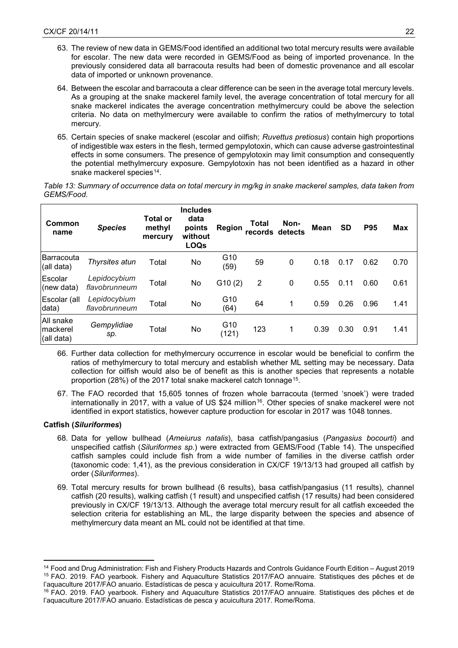- 63. The review of new data in GEMS/Food identified an additional two total mercury results were available for escolar. The new data were recorded in GEMS/Food as being of imported provenance. In the previously considered data all barracouta results had been of domestic provenance and all escolar data of imported or unknown provenance.
- 64. Between the escolar and barracouta a clear difference can be seen in the average total mercury levels. As a grouping at the snake mackerel family level, the average concentration of total mercury for all snake mackerel indicates the average concentration methylmercury could be above the selection criteria. No data on methylmercury were available to confirm the ratios of methylmercury to total mercury.
- 65. Certain species of snake mackerel (escolar and oilfish; *Ruvettus pretiosus*) contain high proportions of indigestible wax esters in the flesh, termed gempylotoxin, which can cause adverse gastrointestinal effects in some consumers. The presence of gempylotoxin may limit consumption and consequently the potential methylmercury exposure. Gempylotoxin has not been identified as a hazard in other snake mackerel species<sup>[14](#page-21-0)</sup>.

| Table 13: Summary of occurrence data on total mercury in mg/kg in snake mackerel samples, data taken from |  |
|-----------------------------------------------------------------------------------------------------------|--|
| GEMS/Food.                                                                                                |  |

| Common<br>name                       | <b>Species</b>                | <b>Total or</b><br>methyl<br>mercury | <b>Includes</b><br>data<br>points<br>without<br><b>LOQs</b> | Region                   | Total<br>records detects | Non- | <b>Mean</b> | <b>SD</b> | <b>P95</b> | <b>Max</b> |
|--------------------------------------|-------------------------------|--------------------------------------|-------------------------------------------------------------|--------------------------|--------------------------|------|-------------|-----------|------------|------------|
| Barracouta<br>(all data)             | Thyrsites atun                | Total                                | No                                                          | G10<br>(59)              | 59                       | 0    | 0.18        | 0.17      | 0.62       | 0.70       |
| Escolar<br>(new data)                | Lepidocybium<br>flavobrunneum | Total                                | No                                                          | G10(2)                   | 2                        | 0    | 0.55        | 0.11      | 0.60       | 0.61       |
| Escolar (all<br>data)                | Lepidocybium<br>flavobrunneum | Total                                | No                                                          | G10<br>(64)              | 64                       |      | 0.59        | 0.26      | 0.96       | 1.41       |
| All snake<br>Imackerel<br>(all data) | Gempylidiae<br>sp.            | Total                                | No                                                          | G <sub>10</sub><br>(121) | 123                      | 1    | 0.39        | 0.30      | 0.91       | 1.41       |

- 66. Further data collection for methylmercury occurrence in escolar would be beneficial to confirm the ratios of methylmercury to total mercury and establish whether ML setting may be necessary. Data collection for oilfish would also be of benefit as this is another species that represents a notable proportion (28%) of the 2017 total snake mackerel catch tonnage<sup>15</sup>.
- 67. The FAO recorded that 15,605 tonnes of frozen whole barracouta (termed 'snoek') were traded internationally in 2017, with a value of US \$24 million<sup>[16](#page-21-2)</sup>. Other species of snake mackerel were not identified in export statistics, however capture production for escolar in 2017 was 1048 tonnes.

## **Catfish (***Siluriformes***)**

**.** 

- 68. Data for yellow bullhead (*Ameiurus natalis*), basa catfish/pangasius (*Pangasius bocourti*) and unspecified catfish (*Siluriformes sp.*) were extracted from GEMS/Food (Table 14). The unspecified catfish samples could include fish from a wide number of families in the diverse catfish order (taxonomic code: 1,41), as the previous consideration in CX/CF 19/13/13 had grouped all catfish by order (*Siluriformes*).
- 69. Total mercury results for brown bullhead (6 results), basa catfish/pangasius (11 results), channel catfish (20 results), walking catfish (1 result) and unspecified catfish (17 results*)* had been considered previously in CX/CF 19/13/13. Although the average total mercury result for all catfish exceeded the selection criteria for establishing an ML, the large disparity between the species and absence of methylmercury data meant an ML could not be identified at that time.

<span id="page-21-1"></span><span id="page-21-0"></span><sup>14</sup> Food and Drug Administration: Fish and Fishery Products Hazards and Controls Guidance Fourth Edition – August 2019 <sup>15</sup> FAO. 2019. FAO yearbook. Fishery and Aquaculture Statistics 2017/FAO annuaire. Statistiques des pêches et de l'aquaculture 2017/FAO anuario. Estadísticas de pesca y acuicultura 2017. Rome/Roma.

<span id="page-21-2"></span><sup>16</sup> FAO. 2019. FAO yearbook. Fishery and Aquaculture Statistics 2017/FAO annuaire. Statistiques des pêches et de l'aquaculture 2017/FAO anuario. Estadísticas de pesca y acuicultura 2017. Rome/Roma.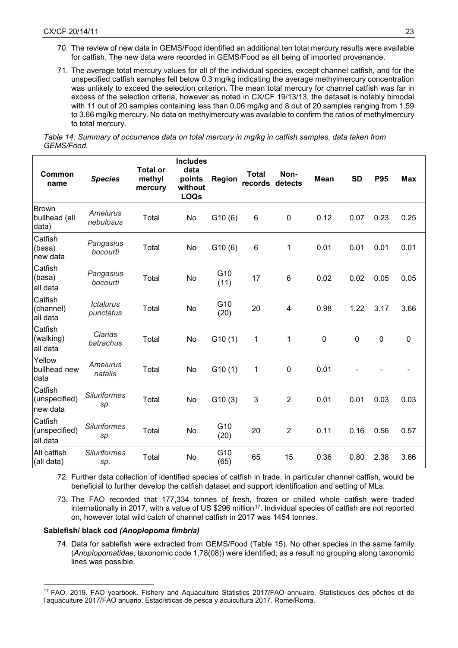- 70. The review of new data in GEMS/Food identified an additional ten total mercury results were available for catfish. The new data were recorded in GEMS/Food as all being of imported provenance.
- 71. The average total mercury values for all of the individual species, except channel catfish, and for the unspecified catfish samples fell below 0.3 mg/kg indicating the average methylmercury concentration was unlikely to exceed the selection criterion. The mean total mercury for channel catfish was far in excess of the selection criteria, however as noted in CX/CF 19/13/13, the dataset is notably bimodal with 11 out of 20 samples containing less than 0.06 mg/kg and 8 out of 20 samples ranging from 1.59 to 3.66 mg/kg mercury. No data on methylmercury was available to confirm the ratios of methylmercury to total mercury.

*Table 14: Summary of occurrence data on total mercury in mg/kg in catfish samples, data taken from GEMS/Food.*

| Common<br>name                       | <b>Species</b>                | <b>Total or</b><br>methyl<br>mercury | <b>Includes</b><br>data<br>points<br>without<br><b>LOQs</b> | <b>Region</b> | <b>Total</b><br>records | Non-<br>detects | Mean        | <b>SD</b> | <b>P95</b> | Max       |
|--------------------------------------|-------------------------------|--------------------------------------|-------------------------------------------------------------|---------------|-------------------------|-----------------|-------------|-----------|------------|-----------|
| Brown<br>bullhead (all<br>data)      | Ameiurus<br>nebulosus         | Total                                | No                                                          | G10(6)        | 6                       | $\mathbf 0$     | 0.12        | 0.07      | 0.23       | 0.25      |
| Catfish<br>(basa)<br>new data        | Pangasius<br>bocourti         | Total                                | No                                                          | G10(6)        | $\,6$                   | 1               | 0.01        | 0.01      | 0.01       | 0.01      |
| Catfish<br>(basa)<br>all data        | Pangasius<br>bocourti         | Total                                | No                                                          | G10<br>(11)   | 17                      | $6\phantom{1}6$ | 0.02        | 0.02      | 0.05       | 0.05      |
| Catfish<br>(channel)<br>all data     | <b>Ictalurus</b><br>punctatus | Total                                | No                                                          | G10<br>(20)   | 20                      | 4               | 0.98        | 1.22      | 3.17       | 3.66      |
| Catfish<br>(walking)<br>all data     | Clarias<br>batrachus          | Total                                | No                                                          | G10(1)        | 1                       | 1               | $\mathbf 0$ | $\pmb{0}$ | $\pmb{0}$  | $\pmb{0}$ |
| Yellow<br>bullhead new<br>data       | Ameiurus<br>natalis           | Total                                | No                                                          | G10(1)        | 1                       | $\mathbf 0$     | 0.01        |           |            |           |
| Catfish<br>(unspecified)<br>new data | <b>Siluriformes</b><br>sp.    | Total                                | No                                                          | G10(3)        | 3                       | $\overline{2}$  | 0.01        | 0.01      | 0.03       | 0.03      |
| Catfish<br>(unspecified)<br>all data | <b>Siluriformes</b><br>sp.    | Total                                | No                                                          | G10<br>(20)   | 20                      | $\overline{2}$  | 0.11        | 0.16      | 0.56       | 0.57      |
| All catfish<br>(all data)            | <b>Siluriformes</b><br>sp.    | Total                                | No                                                          | G10<br>(65)   | 65                      | 15              | 0.36        | 0.80      | 2.38       | 3.66      |

72. Further data collection of identified species of catfish in trade, in particular channel catfish, would be beneficial to further develop the catfish dataset and support identification and setting of MLs.

73. The FAO recorded that 177,334 tonnes of fresh, frozen or chilled whole catfish were traded internationally in 2017, with a value of US \$296 million<sup>17</sup>. Individual species of catfish are not reported on, however total wild catch of channel catfish in 2017 was 1454 tonnes.

## **Sablefish/ black cod** *(Anoplopoma fimbria)*

 $\overline{a}$ 

74. Data for sablefish were extracted from GEMS/Food (Table 15). No other species in the same family (*Anoplopomatidae;* taxonomic code 1,78(08)) were identified; as a result no grouping along taxonomic lines was possible.

<span id="page-22-0"></span><sup>17</sup> FAO. 2019. FAO yearbook. Fishery and Aquaculture Statistics 2017/FAO annuaire. Statistiques des pêches et de l'aquaculture 2017/FAO anuario. Estadísticas de pesca y acuicultura 2017. Rome/Roma.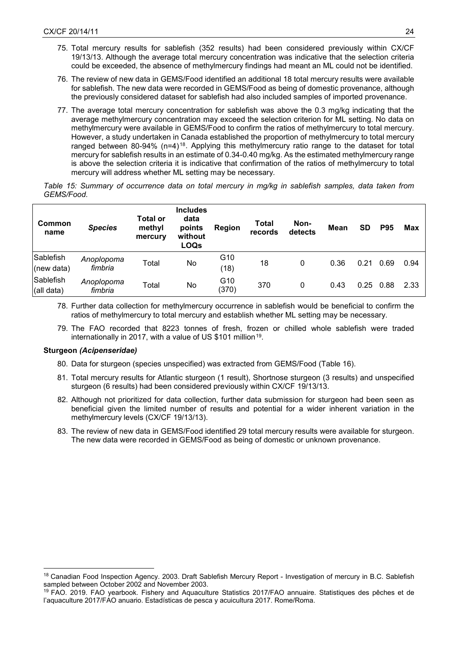- 75. Total mercury results for sablefish (352 results) had been considered previously within CX/CF 19/13/13. Although the average total mercury concentration was indicative that the selection criteria could be exceeded, the absence of methylmercury findings had meant an ML could not be identified.
- 76. The review of new data in GEMS/Food identified an additional 18 total mercury results were available for sablefish. The new data were recorded in GEMS/Food as being of domestic provenance, although the previously considered dataset for sablefish had also included samples of imported provenance.
- 77. The average total mercury concentration for sablefish was above the 0.3 mg/kg indicating that the average methylmercury concentration may exceed the selection criterion for ML setting. No data on methylmercury were available in GEMS/Food to confirm the ratios of methylmercury to total mercury. However, a study undertaken in Canada established the proportion of methylmercury to total mercury ranged between 80-94% (n=4)<sup>[18](#page-23-0)</sup>. Applying this methylmercury ratio range to the dataset for total mercury for sablefish results in an estimate of 0.34-0.40 mg/kg. As the estimated methylmercury range is above the selection criteria it is indicative that confirmation of the ratios of methylmercury to total mercury will address whether ML setting may be necessary.

*Table 15: Summary of occurrence data on total mercury in mg/kg in sablefish samples, data taken from GEMS/Food.*

| Common<br>name          | <b>Species</b>        | <b>Total or</b><br>methyl<br>mercury | <b>Includes</b><br>data<br>points<br>without<br><b>LOQs</b> | Region       | Total<br>records | Non-<br>detects | Mean | SD   | <b>P95</b> | Max  |
|-------------------------|-----------------------|--------------------------------------|-------------------------------------------------------------|--------------|------------------|-----------------|------|------|------------|------|
| Sablefish<br>(new data) | Anoplopoma<br>fimbria | Total                                | No                                                          | G10<br>(18)  | 18               | 0               | 0.36 | 0.21 | 0.69       | 0.94 |
| Sablefish<br>(all data) | Anoplopoma<br>fimbria | Total                                | No                                                          | G10<br>(370) | 370              | 0               | 0.43 | 0.25 | 0.88       | 2.33 |

78. Further data collection for methylmercury occurrence in sablefish would be beneficial to confirm the ratios of methylmercury to total mercury and establish whether ML setting may be necessary.

79. The FAO recorded that 8223 tonnes of fresh, frozen or chilled whole sablefish were traded internationally in 2017, with a value of US \$101 million<sup>19</sup>.

#### **Sturgeon** *(Acipenseridae)*

 $\overline{a}$ 

- 80. Data for sturgeon (species unspecified) was extracted from GEMS/Food (Table 16).
- 81. Total mercury results for Atlantic sturgeon (1 result), Shortnose sturgeon (3 results) and unspecified sturgeon (6 results) had been considered previously within CX/CF 19/13/13.
- 82. Although not prioritized for data collection, further data submission for sturgeon had been seen as beneficial given the limited number of results and potential for a wider inherent variation in the methylmercury levels (CX/CF 19/13/13).
- 83. The review of new data in GEMS/Food identified 29 total mercury results were available for sturgeon. The new data were recorded in GEMS/Food as being of domestic or unknown provenance.

<span id="page-23-0"></span><sup>&</sup>lt;sup>18</sup> Canadian Food Inspection Agency. 2003. Draft Sablefish Mercury Report - Investigation of mercury in B.C. Sablefish sampled between October 2002 and November 2003.

<span id="page-23-1"></span><sup>19</sup> FAO. 2019. FAO yearbook. Fishery and Aquaculture Statistics 2017/FAO annuaire. Statistiques des pêches et de l'aquaculture 2017/FAO anuario. Estadísticas de pesca y acuicultura 2017. Rome/Roma.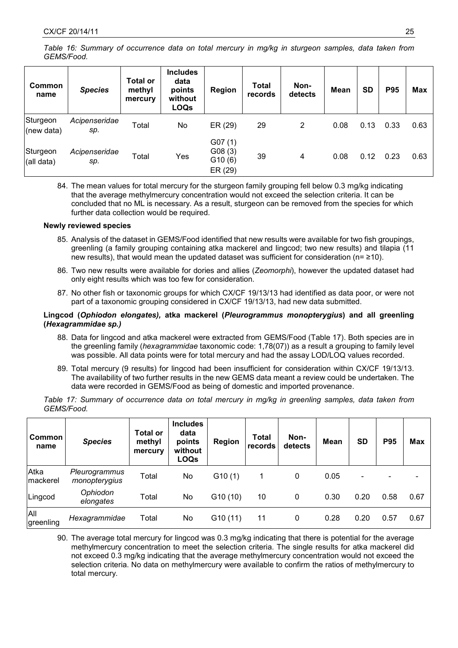*Table 16: Summary of occurrence data on total mercury in mg/kg in sturgeon samples, data taken from GEMS/Food.*

| Common<br>name         | <b>Species</b>       | <b>Total or</b><br>methyl<br>mercury | <b>Includes</b><br>data<br>points<br>without<br><b>LOQs</b> | Region                                | <b>Total</b><br>records | Non-<br>detects | <b>Mean</b> | <b>SD</b> | <b>P95</b> | <b>Max</b> |
|------------------------|----------------------|--------------------------------------|-------------------------------------------------------------|---------------------------------------|-------------------------|-----------------|-------------|-----------|------------|------------|
| Sturgeon<br>(new data) | Acipenseridae<br>sp. | Total                                | No                                                          | ER (29)                               | 29                      | 2               | 0.08        | 0.13      | 0.33       | 0.63       |
| Sturgeon<br>(all data) | Acipenseridae<br>sp. | Total                                | Yes                                                         | G07(1)<br>G08(3)<br>G10(6)<br>ER (29) | 39                      | 4               | 0.08        | 0.12      | 0.23       | 0.63       |

84. The mean values for total mercury for the sturgeon family grouping fell below 0.3 mg/kg indicating that the average methylmercury concentration would not exceed the selection criteria. It can be concluded that no ML is necessary. As a result, sturgeon can be removed from the species for which further data collection would be required.

#### **Newly reviewed species**

- 85. Analysis of the dataset in GEMS/Food identified that new results were available for two fish groupings, greenling (a family grouping containing atka mackerel and lingcod; two new results) and tilapia (11 new results), that would mean the updated dataset was sufficient for consideration (n= ≥10).
- 86. Two new results were available for dories and allies (*Zeomorphi*), however the updated dataset had only eight results which was too few for consideration.
- 87. No other fish or taxonomic groups for which CX/CF 19/13/13 had identified as data poor, or were not part of a taxonomic grouping considered in CX/CF 19/13/13, had new data submitted.

#### **Lingcod (***Ophiodon elongates),* **atka mackerel (***Pleurogrammus monopterygius***) and all greenling (***Hexagrammidae sp.)*

- 88. Data for lingcod and atka mackerel were extracted from GEMS/Food (Table 17). Both species are in the greenling family (*hexagrammidae* taxonomic code: 1,78(07)) as a result a grouping to family level was possible. All data points were for total mercury and had the assay LOD/LOQ values recorded.
- 89. Total mercury (9 results) for lingcod had been insufficient for consideration within CX/CF 19/13/13. The availability of two further results in the new GEMS data meant a review could be undertaken. The data were recorded in GEMS/Food as being of domestic and imported provenance.

*Table 17: Summary of occurrence data on total mercury in mg/kg in greenling samples, data taken from GEMS/Food.*

| <b>Common</b><br>name | <b>Species</b>                 | <b>Total or</b><br>methyl<br>mercury | <b>Includes</b><br>data<br>points<br>without<br><b>LOQs</b> | Region  | Total<br>records | Non-<br>detects | <b>Mean</b> | <b>SD</b> | <b>P95</b> | <b>Max</b> |
|-----------------------|--------------------------------|--------------------------------------|-------------------------------------------------------------|---------|------------------|-----------------|-------------|-----------|------------|------------|
| Atka<br>Imackerel     | Pleurogrammus<br>monopterygius | Total                                | No                                                          | G10(1)  | 1                | 0               | 0.05        | -         |            |            |
| Lingcod               | Ophiodon<br>elongates          | Total                                | No                                                          | G10(10) | 10               | 0               | 0.30        | 0.20      | 0.58       | 0.67       |
| All<br>greenling      | Hexagrammidae                  | Total                                | No                                                          | G10(11) | 11               | 0               | 0.28        | 0.20      | 0.57       | 0.67       |

90. The average total mercury for lingcod was 0.3 mg/kg indicating that there is potential for the average methylmercury concentration to meet the selection criteria. The single results for atka mackerel did not exceed 0.3 mg/kg indicating that the average methylmercury concentration would not exceed the selection criteria. No data on methylmercury were available to confirm the ratios of methylmercury to total mercury.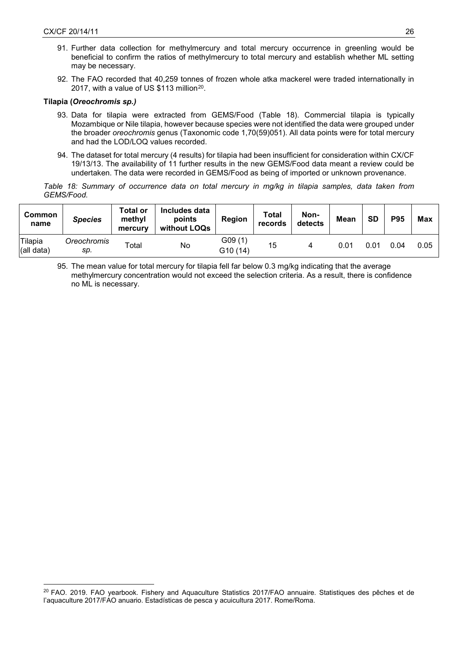$\overline{a}$ 

- 91. Further data collection for methylmercury and total mercury occurrence in greenling would be beneficial to confirm the ratios of methylmercury to total mercury and establish whether ML setting may be necessary.
- 92. The FAO recorded that 40,259 tonnes of frozen whole atka mackerel were traded internationally in 2017, with a value of US \$113 million<sup>20</sup>.

## **Tilapia (***Oreochromis sp.)*

- 93. Data for tilapia were extracted from GEMS/Food (Table 18). Commercial tilapia is typically Mozambique or Nile tilapia, however because species were not identified the data were grouped under the broader *oreochromis* genus (Taxonomic code 1,70(59)051). All data points were for total mercury and had the LOD/LOQ values recorded.
- 94. The dataset for total mercury (4 results) for tilapia had been insufficient for consideration within CX/CF 19/13/13. The availability of 11 further results in the new GEMS/Food data meant a review could be undertaken. The data were recorded in GEMS/Food as being of imported or unknown provenance.

*Table 18: Summary of occurrence data on total mercury in mg/kg in tilapia samples, data taken from GEMS/Food.*

| <b>Common</b><br>name | <b>Species</b>     | Total or<br>methyl<br>mercury | Includes data<br>points<br>without LOQs | <b>Region</b>       | Total<br>records | Non-<br>detects | Mean | SD   | <b>P95</b> | <b>Max</b> |
|-----------------------|--------------------|-------------------------------|-----------------------------------------|---------------------|------------------|-----------------|------|------|------------|------------|
| Tilapia<br>(all data) | Oreochromis<br>sp. | Total                         | No                                      | G09 (1)<br>G10 (14) | 15               |                 | 0.01 | 0.01 | 0.04       | 0.05       |

95. The mean value for total mercury for tilapia fell far below 0.3 mg/kg indicating that the average methylmercury concentration would not exceed the selection criteria. As a result, there is confidence no ML is necessary.

<span id="page-25-0"></span><sup>&</sup>lt;sup>20</sup> FAO. 2019. FAO yearbook. Fishery and Aquaculture Statistics 2017/FAO annuaire. Statistiques des pêches et de l'aquaculture 2017/FAO anuario. Estadísticas de pesca y acuicultura 2017. Rome/Roma.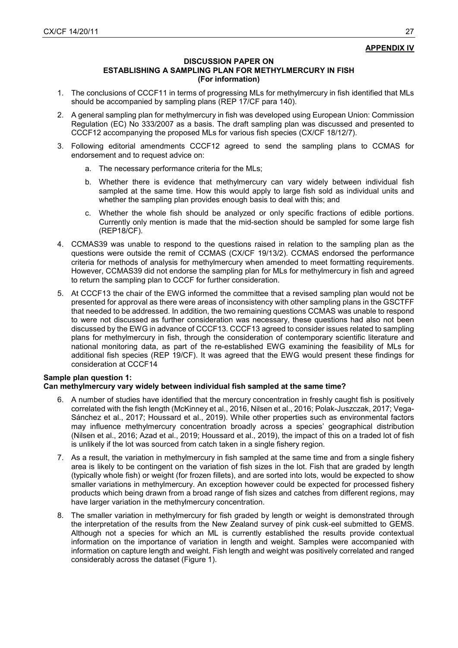## **APPENDIX IV**

#### **DISCUSSION PAPER ON**

## **ESTABLISHING A SAMPLING PLAN FOR METHYLMERCURY IN FISH (For information)**

- 1. The conclusions of CCCF11 in terms of progressing MLs for methylmercury in fish identified that MLs should be accompanied by sampling plans (REP 17/CF para 140).
- 2. A general sampling plan for methylmercury in fish was developed using European Union: Commission Regulation (EC) No 333/2007 as a basis. The draft sampling plan was discussed and presented to CCCF12 accompanying the proposed MLs for various fish species (CX/CF 18/12/7).
- 3. Following editorial amendments CCCF12 agreed to send the sampling plans to CCMAS for endorsement and to request advice on:
	- a. The necessary performance criteria for the MLs;
	- b. Whether there is evidence that methylmercury can vary widely between individual fish sampled at the same time. How this would apply to large fish sold as individual units and whether the sampling plan provides enough basis to deal with this; and
	- c. Whether the whole fish should be analyzed or only specific fractions of edible portions. Currently only mention is made that the mid-section should be sampled for some large fish (REP18/CF).
- 4. CCMAS39 was unable to respond to the questions raised in relation to the sampling plan as the questions were outside the remit of CCMAS (CX/CF 19/13/2). CCMAS endorsed the performance criteria for methods of analysis for methylmercury when amended to meet formatting requirements. However, CCMAS39 did not endorse the sampling plan for MLs for methylmercury in fish and agreed to return the sampling plan to CCCF for further consideration.
- 5. At CCCF13 the chair of the EWG informed the committee that a revised sampling plan would not be presented for approval as there were areas of inconsistency with other sampling plans in the GSCTFF that needed to be addressed. In addition, the two remaining questions CCMAS was unable to respond to were not discussed as further consideration was necessary, these questions had also not been discussed by the EWG in advance of CCCF13. CCCF13 agreed to consider issues related to sampling plans for methylmercury in fish, through the consideration of contemporary scientific literature and national monitoring data, as part of the re-established EWG examining the feasibility of MLs for additional fish species (REP 19/CF). It was agreed that the EWG would present these findings for consideration at CCCF14

## **Sample plan question 1: Can methylmercury vary widely between individual fish sampled at the same time?**

- 6. A number of studies have identified that the mercury concentration in freshly caught fish is positively correlated with the fish length (McKinney et al., 2016, Nilsen et al., 2016; Polak-Juszczak, 2017; Vega-Sánchez et al., 2017; Houssard et al., 2019). While other properties such as environmental factors may influence methylmercury concentration broadly across a species' geographical distribution (Nilsen et al., 2016; Azad et al., 2019; Houssard et al., 2019), the impact of this on a traded lot of fish is unlikely if the lot was sourced from catch taken in a single fishery region.
- 7. As a result, the variation in methylmercury in fish sampled at the same time and from a single fishery area is likely to be contingent on the variation of fish sizes in the lot. Fish that are graded by length (typically whole fish) or weight (for frozen fillets), and are sorted into lots, would be expected to show smaller variations in methylmercury. An exception however could be expected for processed fishery products which being drawn from a broad range of fish sizes and catches from different regions, may have larger variation in the methylmercury concentration.
- 8. The smaller variation in methylmercury for fish graded by length or weight is demonstrated through the interpretation of the results from the New Zealand survey of pink cusk-eel submitted to GEMS. Although not a species for which an ML is currently established the results provide contextual information on the importance of variation in length and weight. Samples were accompanied with information on capture length and weight. Fish length and weight was positively correlated and ranged considerably across the dataset (Figure 1).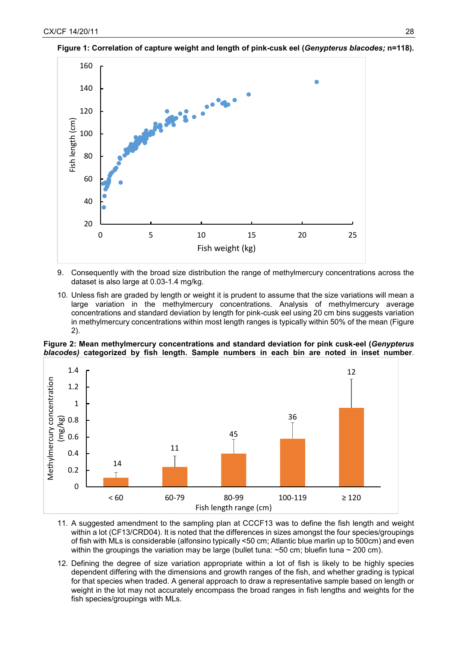

**Figure 1: Correlation of capture weight and length of pink-cusk eel (***Genypterus blacodes;* **n=118).** 

- 9. Consequently with the broad size distribution the range of methylmercury concentrations across the dataset is also large at 0.03-1.4 mg/kg.
- 10. Unless fish are graded by length or weight it is prudent to assume that the size variations will mean a large variation in the methylmercury concentrations. Analysis of methylmercury average concentrations and standard deviation by length for pink-cusk eel using 20 cm bins suggests variation in methylmercury concentrations within most length ranges is typically within 50% of the mean (Figure 2).

**Figure 2: Mean methylmercury concentrations and standard deviation for pink cusk-eel (***Genypterus blacodes)* **categorized by fish length. Sample numbers in each bin are noted in inset number**.



- 11. A suggested amendment to the sampling plan at CCCF13 was to define the fish length and weight within a lot (CF13/CRD04). It is noted that the differences in sizes amongst the four species/groupings of fish with MLs is considerable (alfonsino typically <50 cm; Atlantic blue marlin up to 500cm) and even within the groupings the variation may be large (bullet tuna:  $\sim$  50 cm; bluefin tuna  $\sim$  200 cm).
- 12. Defining the degree of size variation appropriate within a lot of fish is likely to be highly species dependent differing with the dimensions and growth ranges of the fish, and whether grading is typical for that species when traded. A general approach to draw a representative sample based on length or weight in the lot may not accurately encompass the broad ranges in fish lengths and weights for the fish species/groupings with MLs.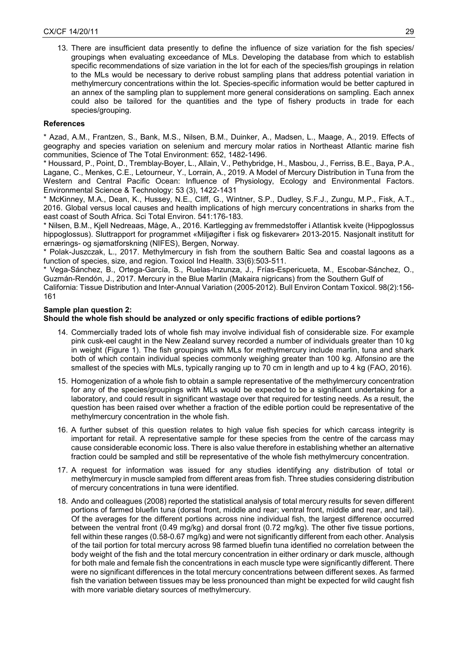13. There are insufficient data presently to define the influence of size variation for the fish species/ groupings when evaluating exceedance of MLs. Developing the database from which to establish specific recommendations of size variation in the lot for each of the species/fish groupings in relation to the MLs would be necessary to derive robust sampling plans that address potential variation in methylmercury concentrations within the lot. Species-specific information would be better captured in an annex of the sampling plan to supplement more general considerations on sampling. Each annex could also be tailored for the quantities and the type of fishery products in trade for each species/grouping.

## **References**

\* Azad, A.M., Frantzen, S., Bank, M.S., Nilsen, B.M., Duinker, A., Madsen, L., Maage, A., 2019. Effects of geography and species variation on selenium and mercury molar ratios in Northeast Atlantic marine fish communities, Science of The Total Environment: 652, 1482-1496.

\* Houssard, P., Point, D., Tremblay-Boyer, L., Allain, V., Pethybridge, H., Masbou, J., Ferriss, B.E., Baya, P.A., Lagane, C., Menkes, C.E., Letourneur, Y., Lorrain, A., 2019. A Model of Mercury Distribution in Tuna from the Western and Central Pacific Ocean: Influence of Physiology, Ecology and Environmental Factors. Environmental Science & Technology: 53 (3), 1422-1431

\* McKinney, M.A., Dean, K., Hussey, N.E., Cliff, G., Wintner, S.P., Dudley, S.F.J., Zungu, M.P., Fisk, A.T., 2016. Global versus local causes and health implications of high mercury concentrations in sharks from the east coast of South Africa. Sci Total Environ. 541:176-183.

\* Nilsen, B.M., Kjell Nedreaas, Måge, A., 2016. Kartlegging av fremmedstoffer i Atlantisk kveite (Hippoglossus hippoglossus). Sluttrapport for programmet «Miljøgifter i fisk og fiskevarer» 2013-2015. Nasjonalt institutt for ernærings- og sjømatforskning (NIFES), Bergen, Norway.

\* Polak-Juszczak, L., 2017. Methylmercury in fish from the southern Baltic Sea and coastal lagoons as a function of species, size, and region. Toxicol Ind Health. 33(6):503-511.

\* Vega-Sánchez, B., Ortega-García, S., Ruelas-Inzunza, J., Frías-Espericueta, M., Escobar-Sánchez, O., Guzmán-Rendón, J., 2017. Mercury in the Blue Marlin (Makaira nigricans) from the Southern Gulf of

California: Tissue Distribution and Inter-Annual Variation (2005-2012). Bull Environ Contam Toxicol. 98(2):156- 161

## **Sample plan question 2:**

## **Should the whole fish should be analyzed or only specific fractions of edible portions?**

- 14. Commercially traded lots of whole fish may involve individual fish of considerable size. For example pink cusk-eel caught in the New Zealand survey recorded a number of individuals greater than 10 kg in weight (Figure 1). The fish groupings with MLs for methylmercury include marlin, tuna and shark both of which contain individual species commonly weighing greater than 100 kg. Alfonsino are the smallest of the species with MLs, typically ranging up to 70 cm in length and up to 4 kg (FAO, 2016).
- 15. Homogenization of a whole fish to obtain a sample representative of the methylmercury concentration for any of the species/groupings with MLs would be expected to be a significant undertaking for a laboratory, and could result in significant wastage over that required for testing needs. As a result, the question has been raised over whether a fraction of the edible portion could be representative of the methylmercury concentration in the whole fish.
- 16. A further subset of this question relates to high value fish species for which carcass integrity is important for retail. A representative sample for these species from the centre of the carcass may cause considerable economic loss. There is also value therefore in establishing whether an alternative fraction could be sampled and still be representative of the whole fish methylmercury concentration.
- 17. A request for information was issued for any studies identifying any distribution of total or methylmercury in muscle sampled from different areas from fish. Three studies considering distribution of mercury concentrations in tuna were identified.
- 18. Ando and colleagues (2008) reported the statistical analysis of total mercury results for seven different portions of farmed bluefin tuna (dorsal front, middle and rear; ventral front, middle and rear, and tail). Of the averages for the different portions across nine individual fish, the largest difference occurred between the ventral front (0.49 mg/kg) and dorsal front (0.72 mg/kg). The other five tissue portions, fell within these ranges (0.58-0.67 mg/kg) and were not significantly different from each other. Analysis of the tail portion for total mercury across 98 farmed bluefin tuna identified no correlation between the body weight of the fish and the total mercury concentration in either ordinary or dark muscle, although for both male and female fish the concentrations in each muscle type were significantly different. There were no significant differences in the total mercury concentrations between different sexes. As farmed fish the variation between tissues may be less pronounced than might be expected for wild caught fish with more variable dietary sources of methylmercury.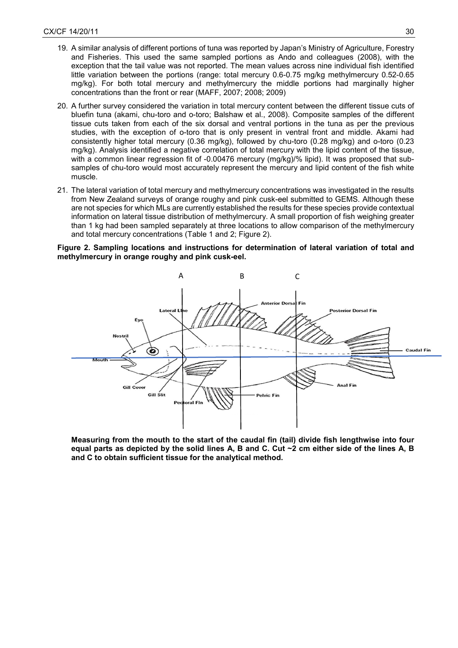- 19. A similar analysis of different portions of tuna was reported by Japan's Ministry of Agriculture, Forestry and Fisheries. This used the same sampled portions as Ando and colleagues (2008), with the exception that the tail value was not reported. The mean values across nine individual fish identified little variation between the portions (range: total mercury 0.6-0.75 mg/kg methylmercury 0.52-0.65 mg/kg). For both total mercury and methylmercury the middle portions had marginally higher concentrations than the front or rear (MAFF, 2007; 2008; 2009)
- 20. A further survey considered the variation in total mercury content between the different tissue cuts of bluefin tuna (akami, chu-toro and o-toro; Balshaw et al., 2008). Composite samples of the different tissue cuts taken from each of the six dorsal and ventral portions in the tuna as per the previous studies, with the exception of o-toro that is only present in ventral front and middle. Akami had consistently higher total mercury (0.36 mg/kg), followed by chu-toro (0.28 mg/kg) and o-toro (0.23 mg/kg). Analysis identified a negative correlation of total mercury with the lipid content of the tissue, with a common linear regression fit of -0.00476 mercury (mg/kg)/% lipid). It was proposed that subsamples of chu-toro would most accurately represent the mercury and lipid content of the fish white muscle.
- 21. The lateral variation of total mercury and methylmercury concentrations was investigated in the results from New Zealand surveys of orange roughy and pink cusk-eel submitted to GEMS. Although these are not species for which MLs are currently established the results for these species provide contextual information on lateral tissue distribution of methylmercury. A small proportion of fish weighing greater than 1 kg had been sampled separately at three locations to allow comparison of the methylmercury and total mercury concentrations (Table 1 and 2; Figure 2).

**Figure 2. Sampling locations and instructions for determination of lateral variation of total and methylmercury in orange roughy and pink cusk-eel.**



**Measuring from the mouth to the start of the caudal fin (tail) divide fish lengthwise into four equal parts as depicted by the solid lines A, B and C. Cut ~2 cm either side of the lines A, B and C to obtain sufficient tissue for the analytical method.**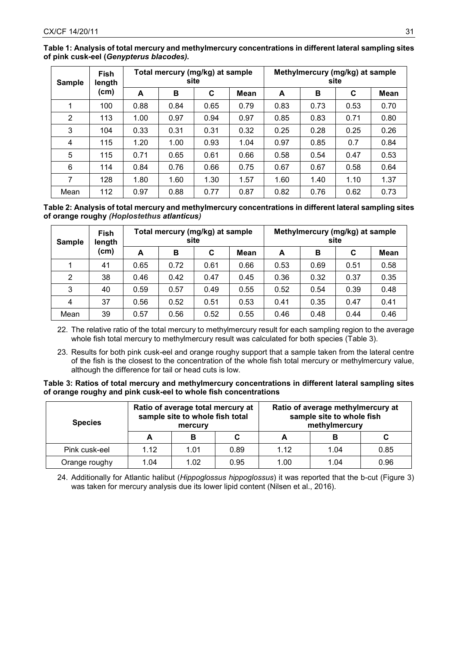| <b>Sample</b> | <b>Fish</b><br>length<br>(cm) | Total mercury (mg/kg) at sample<br>site |      |      |      | Methylmercury (mg/kg) at sample<br>site |      |      |             |
|---------------|-------------------------------|-----------------------------------------|------|------|------|-----------------------------------------|------|------|-------------|
|               |                               | A                                       | в    | C    | Mean | A                                       | в    | C    | <b>Mean</b> |
| 1             | 100                           | 0.88                                    | 0.84 | 0.65 | 0.79 | 0.83                                    | 0.73 | 0.53 | 0.70        |
| 2             | 113                           | 1.00                                    | 0.97 | 0.94 | 0.97 | 0.85                                    | 0.83 | 0.71 | 0.80        |
| 3             | 104                           | 0.33                                    | 0.31 | 0.31 | 0.32 | 0.25                                    | 0.28 | 0.25 | 0.26        |
| 4             | 115                           | 1.20                                    | 1.00 | 0.93 | 1.04 | 0.97                                    | 0.85 | 0.7  | 0.84        |
| 5             | 115                           | 0.71                                    | 0.65 | 0.61 | 0.66 | 0.58                                    | 0.54 | 0.47 | 0.53        |
| 6             | 114                           | 0.84                                    | 0.76 | 0.66 | 0.75 | 0.67                                    | 0.67 | 0.58 | 0.64        |
| 7             | 128                           | 1.80                                    | 1.60 | 1.30 | 1.57 | 1.60                                    | 1.40 | 1.10 | 1.37        |
| Mean          | 112                           | 0.97                                    | 0.88 | 0.77 | 0.87 | 0.82                                    | 0.76 | 0.62 | 0.73        |

**Table 1: Analysis of total mercury and methylmercury concentrations in different lateral sampling sites of pink cusk-eel (***Genypterus blacodes).*

**Table 2: Analysis of total mercury and methylmercury concentrations in different lateral sampling sites of orange roughy** *(Hoplostethus atlanticus)*

| <b>Sample</b> | Fish<br>length<br>(cm) | Total mercury (mg/kg) at sample<br>site |      |      |             | Methylmercury (mg/kg) at sample<br>site |      |      |             |
|---------------|------------------------|-----------------------------------------|------|------|-------------|-----------------------------------------|------|------|-------------|
|               |                        | A                                       | в    | C    | <b>Mean</b> | A                                       | B    | C    | <b>Mean</b> |
|               | 41                     | 0.65                                    | 0.72 | 0.61 | 0.66        | 0.53                                    | 0.69 | 0.51 | 0.58        |
| 2             | 38                     | 0.46                                    | 0.42 | 0.47 | 0.45        | 0.36                                    | 0.32 | 0.37 | 0.35        |
| 3             | 40                     | 0.59                                    | 0.57 | 0.49 | 0.55        | 0.52                                    | 0.54 | 0.39 | 0.48        |
| 4             | 37                     | 0.56                                    | 0.52 | 0.51 | 0.53        | 0.41                                    | 0.35 | 0.47 | 0.41        |
| Mean          | 39                     | 0.57                                    | 0.56 | 0.52 | 0.55        | 0.46                                    | 0.48 | 0.44 | 0.46        |

22. The relative ratio of the total mercury to methylmercury result for each sampling region to the average whole fish total mercury to methylmercury result was calculated for both species (Table 3).

23. Results for both pink cusk-eel and orange roughy support that a sample taken from the lateral centre of the fish is the closest to the concentration of the whole fish total mercury or methylmercury value, although the difference for tail or head cuts is low.

**Table 3: Ratios of total mercury and methylmercury concentrations in different lateral sampling sites of orange roughy and pink cusk-eel to whole fish concentrations**

| <b>Species</b> |      | Ratio of average total mercury at<br>sample site to whole fish total<br>mercury |      | Ratio of average methylmercury at<br>sample site to whole fish<br>methylmercury |      |      |  |
|----------------|------|---------------------------------------------------------------------------------|------|---------------------------------------------------------------------------------|------|------|--|
|                |      | в                                                                               |      | -                                                                               | в    |      |  |
| Pink cusk-eel  | 1.12 | 1.01                                                                            | 0.89 | 1.12                                                                            | 1.04 | 0.85 |  |
| Orange roughy  | 1.04 | 1.02                                                                            | 0.95 | 1.00                                                                            | 1.04 | 0.96 |  |

24. Additionally for Atlantic halibut (*Hippoglossus hippoglossus*) it was reported that the b-cut (Figure 3) was taken for mercury analysis due its lower lipid content (Nilsen et al., 2016).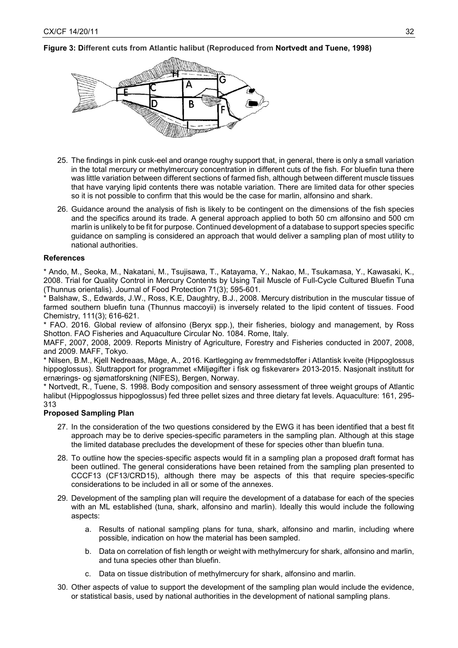## **Figure 3: Different cuts from Atlantic halibut (Reproduced from Nortvedt and Tuene, 1998)**



- 25. The findings in pink cusk-eel and orange roughy support that, in general, there is only a small variation in the total mercury or methylmercury concentration in different cuts of the fish. For bluefin tuna there was little variation between different sections of farmed fish, although between different muscle tissues that have varying lipid contents there was notable variation. There are limited data for other species so it is not possible to confirm that this would be the case for marlin, alfonsino and shark.
- 26. Guidance around the analysis of fish is likely to be contingent on the dimensions of the fish species and the specifics around its trade. A general approach applied to both 50 cm alfonsino and 500 cm marlin is unlikely to be fit for purpose. Continued development of a database to support species specific guidance on sampling is considered an approach that would deliver a sampling plan of most utility to national authorities.

#### **References**

\* Ando, M., Seoka, M., Nakatani, M., Tsujisawa, T., Katayama, Y., Nakao, M., Tsukamasa, Y., Kawasaki, K., 2008. Trial for Quality Control in Mercury Contents by Using Tail Muscle of Full-Cycle Cultured Bluefin Tuna (Thunnus orientalis). Journal of Food Protection 71(3); 595-601.

Balshaw, S., Edwards, J.W., Ross, K.E, Daughtry, B.J., 2008. Mercury distribution in the muscular tissue of farmed southern bluefin tuna (Thunnus maccoyii) is inversely related to the lipid content of tissues. Food Chemistry, 111(3); 616-621.

\* FAO. 2016. Global review of alfonsino (Beryx spp.), their fisheries, biology and management, by Ross Shotton. FAO Fisheries and Aquaculture Circular No. 1084. Rome, Italy.

MAFF, 2007, 2008, 2009. Reports Ministry of Agriculture, Forestry and Fisheries conducted in 2007, 2008, and 2009. MAFF, Tokyo.

\* Nilsen, B.M., Kjell Nedreaas, Måge, A., 2016. Kartlegging av fremmedstoffer i Atlantisk kveite (Hippoglossus hippoglossus). Sluttrapport for programmet «Miljøgifter i fisk og fiskevarer» 2013-2015. Nasjonalt institutt for ernærings- og sjømatforskning (NIFES), Bergen, Norway.

\* Nortvedt, R., Tuene, S. 1998. Body composition and sensory assessment of three weight groups of Atlantic halibut (Hippoglossus hippoglossus) fed three pellet sizes and three dietary fat levels. Aquaculture: 161, 295- 313

#### **Proposed Sampling Plan**

- 27. In the consideration of the two questions considered by the EWG it has been identified that a best fit approach may be to derive species-specific parameters in the sampling plan. Although at this stage the limited database precludes the development of these for species other than bluefin tuna.
- 28. To outline how the species-specific aspects would fit in a sampling plan a proposed draft format has been outlined. The general considerations have been retained from the sampling plan presented to CCCF13 (CF13/CRD15), although there may be aspects of this that require species-specific considerations to be included in all or some of the annexes.
- 29. Development of the sampling plan will require the development of a database for each of the species with an ML established (tuna, shark, alfonsino and marlin). Ideally this would include the following aspects:
	- a. Results of national sampling plans for tuna, shark, alfonsino and marlin, including where possible, indication on how the material has been sampled.
	- b. Data on correlation of fish length or weight with methylmercury for shark, alfonsino and marlin, and tuna species other than bluefin.
	- c. Data on tissue distribution of methylmercury for shark, alfonsino and marlin.
- 30. Other aspects of value to support the development of the sampling plan would include the evidence, or statistical basis, used by national authorities in the development of national sampling plans.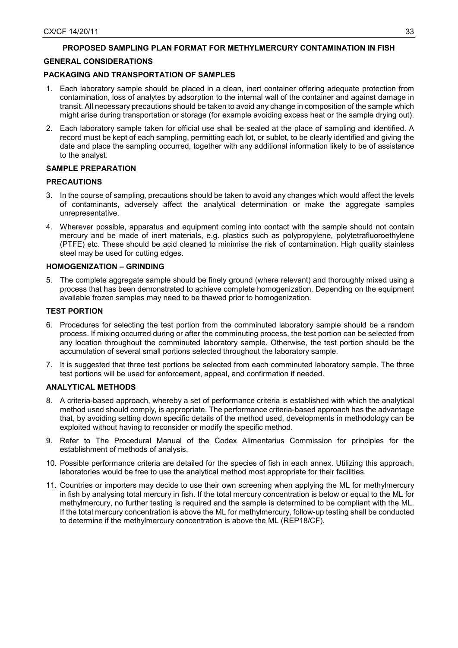## **PROPOSED SAMPLING PLAN FORMAT FOR METHYLMERCURY CONTAMINATION IN FISH**

## **GENERAL CONSIDERATIONS**

## **PACKAGING AND TRANSPORTATION OF SAMPLES**

- 1. Each laboratory sample should be placed in a clean, inert container offering adequate protection from contamination, loss of analytes by adsorption to the internal wall of the container and against damage in transit. All necessary precautions should be taken to avoid any change in composition of the sample which might arise during transportation or storage (for example avoiding excess heat or the sample drying out).
- 2. Each laboratory sample taken for official use shall be sealed at the place of sampling and identified. A record must be kept of each sampling, permitting each lot, or sublot, to be clearly identified and giving the date and place the sampling occurred, together with any additional information likely to be of assistance to the analyst.

## **SAMPLE PREPARATION**

## **PRECAUTIONS**

- 3. In the course of sampling, precautions should be taken to avoid any changes which would affect the levels of contaminants, adversely affect the analytical determination or make the aggregate samples unrepresentative.
- 4. Wherever possible, apparatus and equipment coming into contact with the sample should not contain mercury and be made of inert materials, e.g. plastics such as polypropylene, polytetrafluoroethylene (PTFE) etc. These should be acid cleaned to minimise the risk of contamination. High quality stainless steel may be used for cutting edges.

## **HOMOGENIZATION – GRINDING**

5. The complete aggregate sample should be finely ground (where relevant) and thoroughly mixed using a process that has been demonstrated to achieve complete homogenization. Depending on the equipment available frozen samples may need to be thawed prior to homogenization.

## **TEST PORTION**

- 6. Procedures for selecting the test portion from the comminuted laboratory sample should be a random process. If mixing occurred during or after the comminuting process, the test portion can be selected from any location throughout the comminuted laboratory sample. Otherwise, the test portion should be the accumulation of several small portions selected throughout the laboratory sample.
- 7. It is suggested that three test portions be selected from each comminuted laboratory sample. The three test portions will be used for enforcement, appeal, and confirmation if needed.

## **ANALYTICAL METHODS**

- 8. A criteria-based approach, whereby a set of performance criteria is established with which the analytical method used should comply, is appropriate. The performance criteria-based approach has the advantage that, by avoiding setting down specific details of the method used, developments in methodology can be exploited without having to reconsider or modify the specific method.
- 9. Refer to The Procedural Manual of the Codex Alimentarius Commission for principles for the establishment of methods of analysis.
- 10. Possible performance criteria are detailed for the species of fish in each annex. Utilizing this approach, laboratories would be free to use the analytical method most appropriate for their facilities.
- 11. Countries or importers may decide to use their own screening when applying the ML for methylmercury in fish by analysing total mercury in fish. If the total mercury concentration is below or equal to the ML for methylmercury, no further testing is required and the sample is determined to be compliant with the ML. If the total mercury concentration is above the ML for methylmercury, follow-up testing shall be conducted to determine if the methylmercury concentration is above the ML (REP18/CF).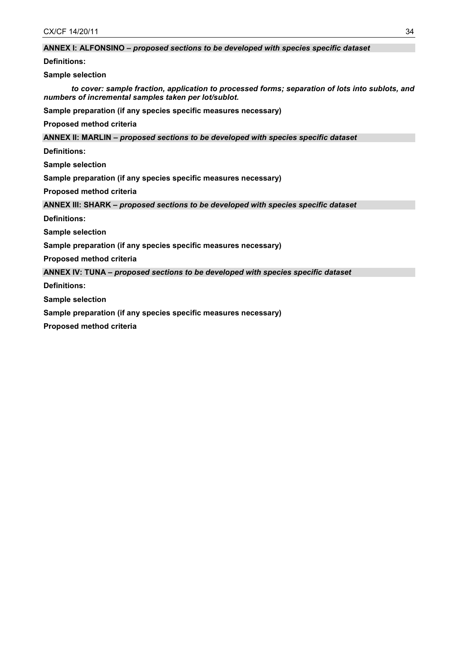## **ANNEX I: ALFONSINO –** *proposed sections to be developed with species specific dataset*

**Definitions:**

**Sample selection** 

*to cover: sample fraction, application to processed forms; separation of lots into sublots, and numbers of incremental samples taken per lot/sublot.*

**Sample preparation (if any species specific measures necessary)**

**Proposed method criteria**

**ANNEX II: MARLIN –** *proposed sections to be developed with species specific dataset*

**Definitions:**

**Sample selection** 

**Sample preparation (if any species specific measures necessary)**

**Proposed method criteria**

**ANNEX III: SHARK –** *proposed sections to be developed with species specific dataset*

**Definitions:**

**Sample selection** 

**Sample preparation (if any species specific measures necessary)**

**Proposed method criteria**

**ANNEX IV: TUNA –** *proposed sections to be developed with species specific dataset*

**Definitions:**

**Sample selection** 

**Sample preparation (if any species specific measures necessary)**

**Proposed method criteria**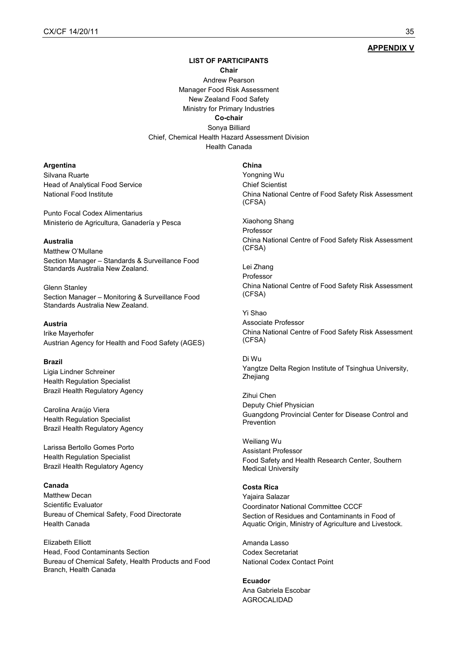## **APPENDIX V**

# **LIST OF PARTICIPANTS**

## **Chair**

Andrew Pearson Manager Food Risk Assessment New Zealand Food Safety Ministry for Primary Industries **Co-chair** Sonya Billiard Chief, Chemical Health Hazard Assessment Division

Health Canada

#### **Argentina**

Silvana Ruarte Head of Analytical Food Service National Food Institute

Punto Focal Codex Alimentarius Ministerio de Agricultura, Ganadería y Pesca

#### **Australia**

Matthew O'Mullane Section Manager – Standards & Surveillance Food Standards Australia New Zealand.

Glenn Stanley Section Manager – Monitoring & Surveillance Food Standards Australia New Zealand.

# **Austria**

Irike Mayerhofer Austrian Agency for Health and Food Safety (AGES)

#### **Brazil**

Ligia Lindner Schreiner Health Regulation Specialist Brazil Health Regulatory Agency

Carolina Araújo Viera Health Regulation Specialist Brazil Health Regulatory Agency

Larissa Bertollo Gomes Porto Health Regulation Specialist Brazil Health Regulatory Agency

## **Canada**

Matthew Decan Scientific Evaluator Bureau of Chemical Safety, Food Directorate Health Canada

Elizabeth Elliott Head, Food Contaminants Section Bureau of Chemical Safety, Health Products and Food Branch, Health Canada

#### **China**

Yongning Wu Chief Scientist China National Centre of Food Safety Risk Assessment (CFSA)

Xiaohong Shang Professor China National Centre of Food Safety Risk Assessment (CFSA)

Lei Zhang Professor China National Centre of Food Safety Risk Assessment (CFSA)

Yi Shao Associate Professor China National Centre of Food Safety Risk Assessment (CFSA)

Di Wu Yangtze Delta Region Institute of Tsinghua University, Zhejiang

Zihui Chen Deputy Chief Physician Guangdong Provincial Center for Disease Control and Prevention

Weiliang Wu Assistant Professor Food Safety and Health Research Center, Southern Medical University

## **Costa Rica**

Yajaira Salazar Coordinator National Committee CCCF Section of Residues and Contaminants in Food of Aquatic Origin, Ministry of Agriculture and Livestock.

Amanda Lasso Codex Secretariat National Codex Contact Point

**Ecuador** Ana Gabriela Escobar AGROCALIDAD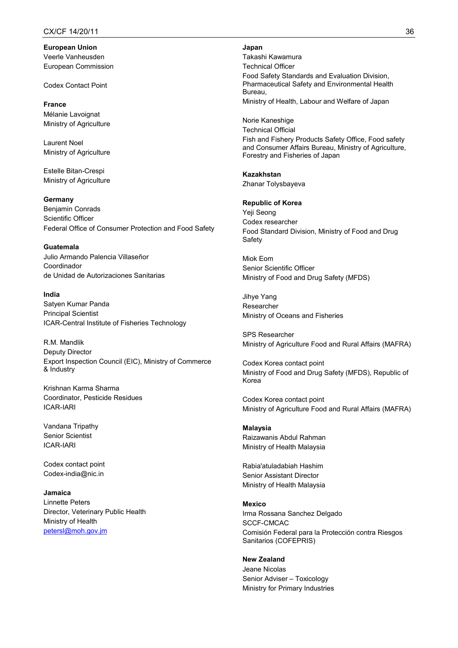**European Union** Veerle Vanheusden European Commission

Codex Contact Point

**France** Mélanie Lavoignat Ministry of Agriculture

Laurent Noel Ministry of Agriculture

Estelle Bitan-Crespi Ministry of Agriculture

**Germany**

Benjamin Conrads Scientific Officer Federal Office of Consumer Protection and Food Safety

**Guatemala** Julio Armando Palencia Villaseñor Coordinador de Unidad de Autorizaciones Sanitarias

**India** Satyen Kumar Panda Principal Scientist ICAR-Central Institute of Fisheries Technology

R.M. Mandlik Deputy Director Export Inspection Council (EIC), Ministry of Commerce & Industry

Krishnan Karma Sharma Coordinator, Pesticide Residues ICAR-IARI

Vandana Tripathy Senior Scientist ICAR-IARI

Codex contact point Codex-india@nic.in

**Jamaica** Linnette Peters Director, Veterinary Public Health Ministry of Health [petersl@moh.gov.jm](mailto:petersl@moh.gov.jm)

#### **Japan**

Takashi Kawamura Technical Officer Food Safety Standards and Evaluation Division, Pharmaceutical Safety and Environmental Health Bureau, Ministry of Health, Labour and Welfare of Japan

Norie Kaneshige Technical Official Fish and Fishery Products Safety Office, Food safety and Consumer Affairs Bureau, Ministry of Agriculture, Forestry and Fisheries of Japan

**Kazakhstan** Zhanar Tolysbayeva

**Republic of Korea** Yeji Seong Codex researcher Food Standard Division, Ministry of Food and Drug Safety

Miok Eom Senior Scientific Officer Ministry of Food and Drug Safety (MFDS)

Jihye Yang Researcher Ministry of Oceans and Fisheries

SPS Researcher Ministry of Agriculture Food and Rural Affairs (MAFRA)

Codex Korea contact point Ministry of Food and Drug Safety (MFDS), Republic of Korea

Codex Korea contact point Ministry of Agriculture Food and Rural Affairs (MAFRA)

**Malaysia** Raizawanis Abdul Rahman Ministry of Health Malaysia

Rabia'atuladabiah Hashim Senior Assistant Director Ministry of Health Malaysia

**Mexico** Irma Rossana Sanchez Delgado SCCF-CMCAC Comisión Federal para la Protección contra Riesgos Sanitarios (COFEPRIS)

## **New Zealand**

Jeane Nicolas Senior Adviser – Toxicology Ministry for Primary Industries